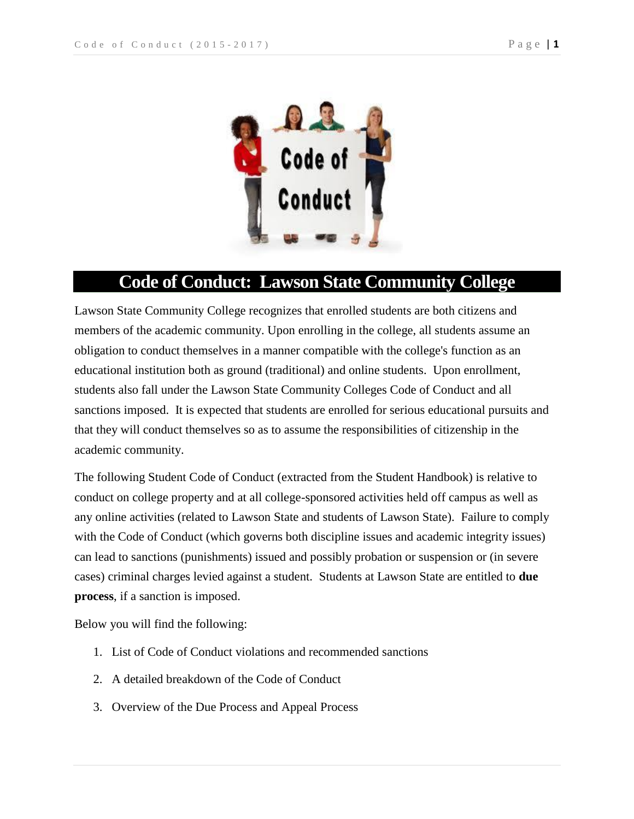

# **Code of Conduct: Lawson State Community College**

Lawson State Community College recognizes that enrolled students are both citizens and members of the academic community. Upon enrolling in the college, all students assume an obligation to conduct themselves in a manner compatible with the college's function as an educational institution both as ground (traditional) and online students. Upon enrollment, students also fall under the Lawson State Community Colleges Code of Conduct and all sanctions imposed. It is expected that students are enrolled for serious educational pursuits and that they will conduct themselves so as to assume the responsibilities of citizenship in the academic community.

The following Student Code of Conduct (extracted from the Student Handbook) is relative to conduct on college property and at all college-sponsored activities held off campus as well as any online activities (related to Lawson State and students of Lawson State). Failure to comply with the Code of Conduct (which governs both discipline issues and academic integrity issues) can lead to sanctions (punishments) issued and possibly probation or suspension or (in severe cases) criminal charges levied against a student. Students at Lawson State are entitled to **due process**, if a sanction is imposed.

Below you will find the following:

- 1. List of Code of Conduct violations and recommended sanctions
- 2. A detailed breakdown of the Code of Conduct
- 3. Overview of the Due Process and Appeal Process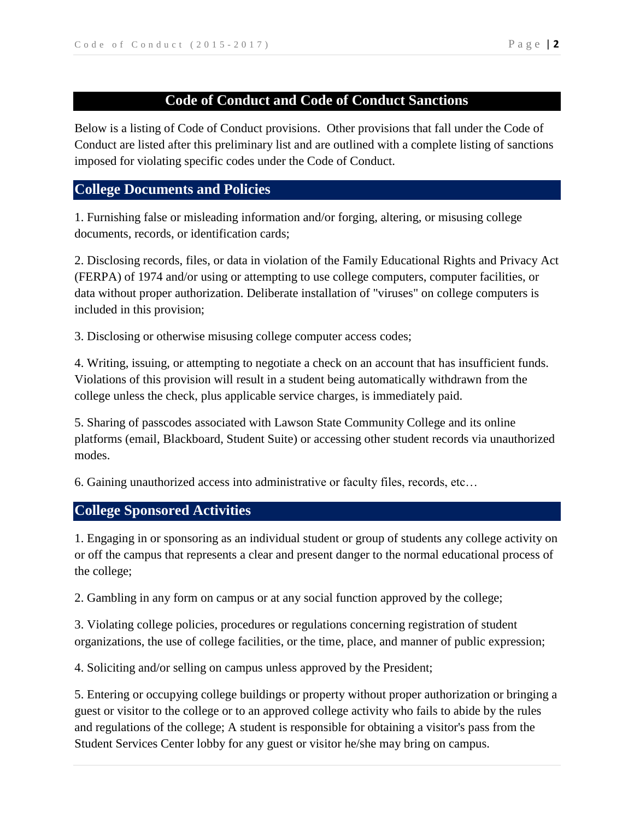# **Code of Conduct and Code of Conduct Sanctions**

Below is a listing of Code of Conduct provisions. Other provisions that fall under the Code of Conduct are listed after this preliminary list and are outlined with a complete listing of sanctions imposed for violating specific codes under the Code of Conduct.

## **College Documents and Policies**

1. Furnishing false or misleading information and/or forging, altering, or misusing college documents, records, or identification cards;

2. Disclosing records, files, or data in violation of the Family Educational Rights and Privacy Act (FERPA) of 1974 and/or using or attempting to use college computers, computer facilities, or data without proper authorization. Deliberate installation of "viruses" on college computers is included in this provision;

3. Disclosing or otherwise misusing college computer access codes;

4. Writing, issuing, or attempting to negotiate a check on an account that has insufficient funds. Violations of this provision will result in a student being automatically withdrawn from the college unless the check, plus applicable service charges, is immediately paid.

5. Sharing of passcodes associated with Lawson State Community College and its online platforms (email, Blackboard, Student Suite) or accessing other student records via unauthorized modes.

6. Gaining unauthorized access into administrative or faculty files, records, etc…

# **College Sponsored Activities**

1. Engaging in or sponsoring as an individual student or group of students any college activity on or off the campus that represents a clear and present danger to the normal educational process of the college;

2. Gambling in any form on campus or at any social function approved by the college;

3. Violating college policies, procedures or regulations concerning registration of student organizations, the use of college facilities, or the time, place, and manner of public expression;

4. Soliciting and/or selling on campus unless approved by the President;

5. Entering or occupying college buildings or property without proper authorization or bringing a guest or visitor to the college or to an approved college activity who fails to abide by the rules and regulations of the college; A student is responsible for obtaining a visitor's pass from the Student Services Center lobby for any guest or visitor he/she may bring on campus.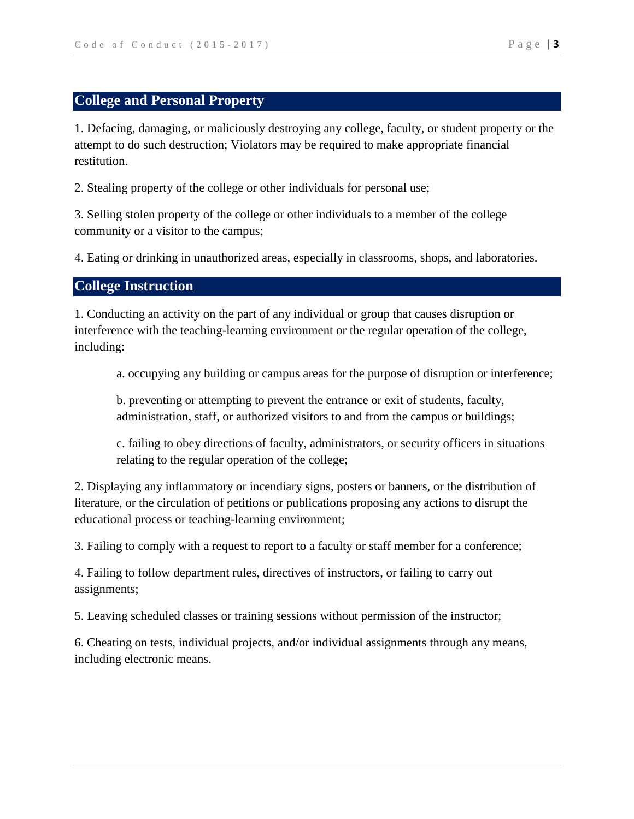## **College and Personal Property**

1. Defacing, damaging, or maliciously destroying any college, faculty, or student property or the attempt to do such destruction; Violators may be required to make appropriate financial restitution.

2. Stealing property of the college or other individuals for personal use;

3. Selling stolen property of the college or other individuals to a member of the college community or a visitor to the campus;

4. Eating or drinking in unauthorized areas, especially in classrooms, shops, and laboratories.

### **College Instruction**

1. Conducting an activity on the part of any individual or group that causes disruption or interference with the teaching-learning environment or the regular operation of the college, including:

a. occupying any building or campus areas for the purpose of disruption or interference;

b. preventing or attempting to prevent the entrance or exit of students, faculty, administration, staff, or authorized visitors to and from the campus or buildings;

c. failing to obey directions of faculty, administrators, or security officers in situations relating to the regular operation of the college;

2. Displaying any inflammatory or incendiary signs, posters or banners, or the distribution of literature, or the circulation of petitions or publications proposing any actions to disrupt the educational process or teaching-learning environment;

3. Failing to comply with a request to report to a faculty or staff member for a conference;

4. Failing to follow department rules, directives of instructors, or failing to carry out assignments;

5. Leaving scheduled classes or training sessions without permission of the instructor;

6. Cheating on tests, individual projects, and/or individual assignments through any means, including electronic means.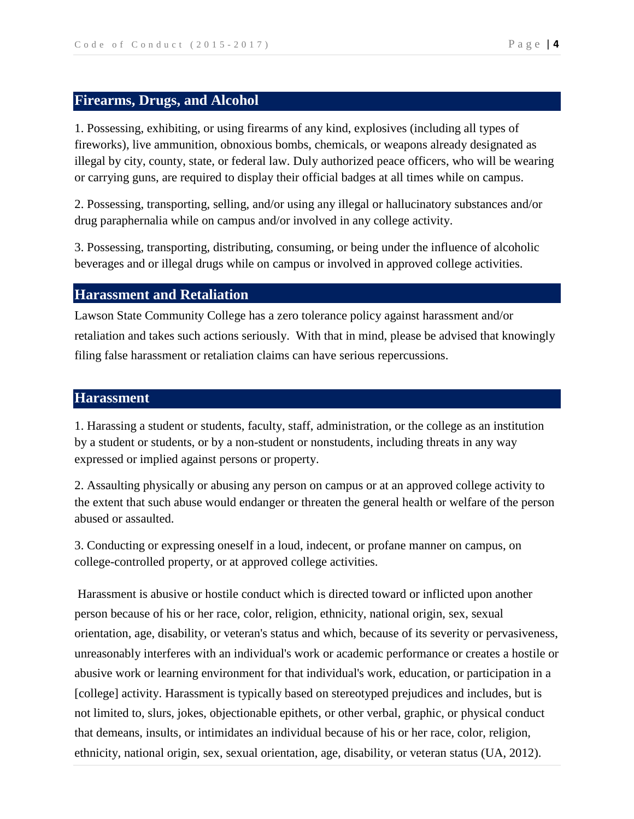## **Firearms, Drugs, and Alcohol**

1. Possessing, exhibiting, or using firearms of any kind, explosives (including all types of fireworks), live ammunition, obnoxious bombs, chemicals, or weapons already designated as illegal by city, county, state, or federal law. Duly authorized peace officers, who will be wearing or carrying guns, are required to display their official badges at all times while on campus.

2. Possessing, transporting, selling, and/or using any illegal or hallucinatory substances and/or drug paraphernalia while on campus and/or involved in any college activity.

3. Possessing, transporting, distributing, consuming, or being under the influence of alcoholic beverages and or illegal drugs while on campus or involved in approved college activities.

#### **Harassment and Retaliation**

Lawson State Community College has a zero tolerance policy against harassment and/or retaliation and takes such actions seriously. With that in mind, please be advised that knowingly filing false harassment or retaliation claims can have serious repercussions.

#### **Harassment**

1. Harassing a student or students, faculty, staff, administration, or the college as an institution by a student or students, or by a non-student or nonstudents, including threats in any way expressed or implied against persons or property.

2. Assaulting physically or abusing any person on campus or at an approved college activity to the extent that such abuse would endanger or threaten the general health or welfare of the person abused or assaulted.

3. Conducting or expressing oneself in a loud, indecent, or profane manner on campus, on college-controlled property, or at approved college activities.

Harassment is abusive or hostile conduct which is directed toward or inflicted upon another person because of his or her race, color, religion, ethnicity, national origin, sex, sexual orientation, age, disability, or veteran's status and which, because of its severity or pervasiveness, unreasonably interferes with an individual's work or academic performance or creates a hostile or abusive work or learning environment for that individual's work, education, or participation in a [college] activity. Harassment is typically based on stereotyped prejudices and includes, but is not limited to, slurs, jokes, objectionable epithets, or other verbal, graphic, or physical conduct that demeans, insults, or intimidates an individual because of his or her race, color, religion, ethnicity, national origin, sex, sexual orientation, age, disability, or veteran status (UA, 2012).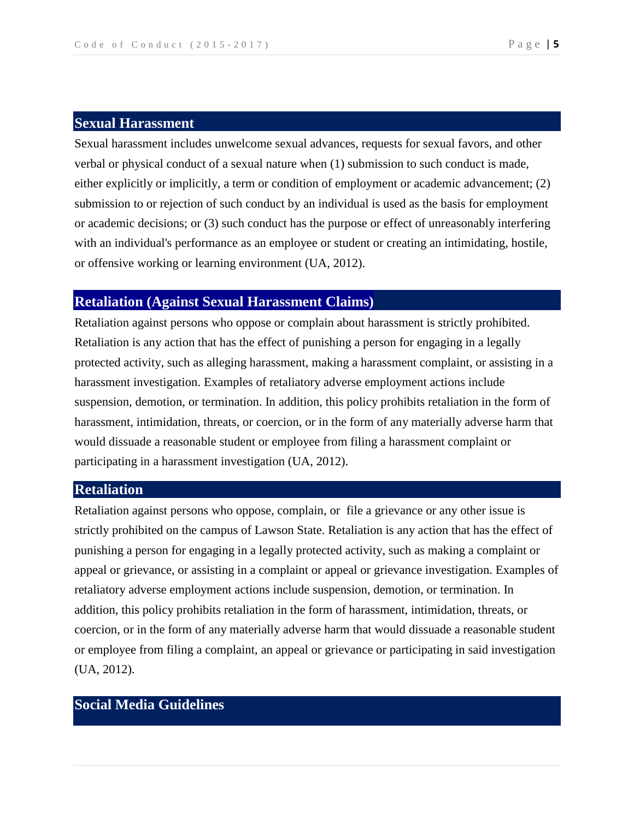#### **Sexual Harassment**

Sexual harassment includes unwelcome sexual advances, requests for sexual favors, and other verbal or physical conduct of a sexual nature when (1) submission to such conduct is made, either explicitly or implicitly, a term or condition of employment or academic advancement; (2) submission to or rejection of such conduct by an individual is used as the basis for employment or academic decisions; or (3) such conduct has the purpose or effect of unreasonably interfering with an individual's performance as an employee or student or creating an intimidating, hostile, or offensive working or learning environment (UA, 2012).

### **Retaliation (Against Sexual Harassment Claims)**

Retaliation against persons who oppose or complain about harassment is strictly prohibited. Retaliation is any action that has the effect of punishing a person for engaging in a legally protected activity, such as alleging harassment, making a harassment complaint, or assisting in a harassment investigation. Examples of retaliatory adverse employment actions include suspension, demotion, or termination. In addition, this policy prohibits retaliation in the form of harassment, intimidation, threats, or coercion, or in the form of any materially adverse harm that would dissuade a reasonable student or employee from filing a harassment complaint or participating in a harassment investigation (UA, 2012).

## **Retaliation**

Retaliation against persons who oppose, complain, or file a grievance or any other issue is strictly prohibited on the campus of Lawson State. Retaliation is any action that has the effect of punishing a person for engaging in a legally protected activity, such as making a complaint or appeal or grievance, or assisting in a complaint or appeal or grievance investigation. Examples of retaliatory adverse employment actions include suspension, demotion, or termination. In addition, this policy prohibits retaliation in the form of harassment, intimidation, threats, or coercion, or in the form of any materially adverse harm that would dissuade a reasonable student or employee from filing a complaint, an appeal or grievance or participating in said investigation (UA, 2012).

# **Social Media Guidelines**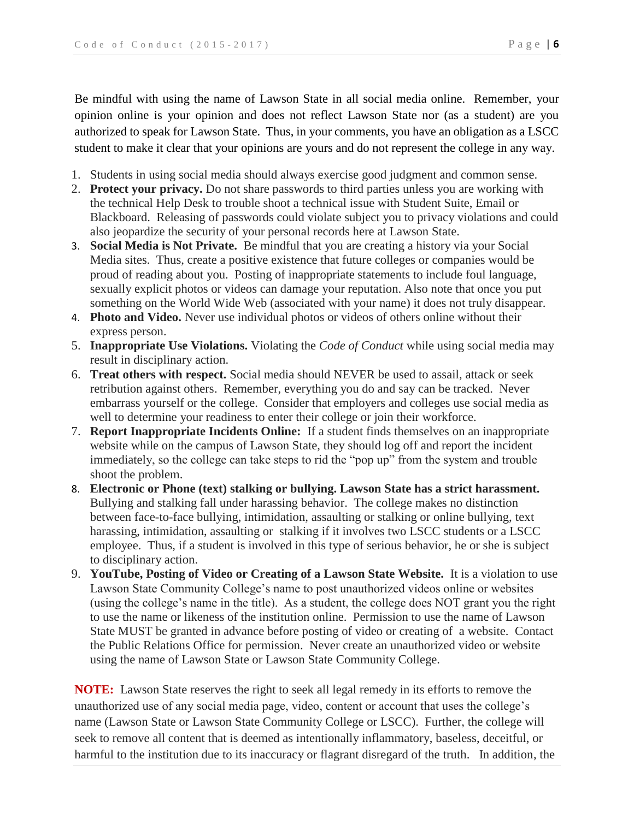Be mindful with using the name of Lawson State in all social media online. Remember, your opinion online is your opinion and does not reflect Lawson State nor (as a student) are you authorized to speak for Lawson State. Thus, in your comments, you have an obligation as a LSCC student to make it clear that your opinions are yours and do not represent the college in any way.

- 1. Students in using social media should always exercise good judgment and common sense.
- 2. **Protect your privacy.** Do not share passwords to third parties unless you are working with the technical Help Desk to trouble shoot a technical issue with Student Suite, Email or Blackboard. Releasing of passwords could violate subject you to privacy violations and could also jeopardize the security of your personal records here at Lawson State.
- 3. **Social Media is Not Private.** Be mindful that you are creating a history via your Social Media sites. Thus, create a positive existence that future colleges or companies would be proud of reading about you. Posting of inappropriate statements to include foul language, sexually explicit photos or videos can damage your reputation. Also note that once you put something on the World Wide Web (associated with your name) it does not truly disappear.
- 4. **Photo and Video.** Never use individual photos or videos of others online without their express person.
- 5. **Inappropriate Use Violations.** Violating the *Code of Conduct* while using social media may result in disciplinary action.
- 6. **Treat others with respect.** Social media should NEVER be used to assail, attack or seek retribution against others. Remember, everything you do and say can be tracked. Never embarrass yourself or the college. Consider that employers and colleges use social media as well to determine your readiness to enter their college or join their workforce.
- 7. **Report Inappropriate Incidents Online:** If a student finds themselves on an inappropriate website while on the campus of Lawson State, they should log off and report the incident immediately, so the college can take steps to rid the "pop up" from the system and trouble shoot the problem.
- 8. **Electronic or Phone (text) stalking or bullying. Lawson State has a strict harassment.**  Bullying and stalking fall under harassing behavior. The college makes no distinction between face-to-face bullying, intimidation, assaulting or stalking or online bullying, text harassing, intimidation, assaulting or stalking if it involves two LSCC students or a LSCC employee. Thus, if a student is involved in this type of serious behavior, he or she is subject to disciplinary action.
- 9. **YouTube, Posting of Video or Creating of a Lawson State Website.** It is a violation to use Lawson State Community College's name to post unauthorized videos online or websites (using the college's name in the title). As a student, the college does NOT grant you the right to use the name or likeness of the institution online. Permission to use the name of Lawson State MUST be granted in advance before posting of video or creating of a website. Contact the Public Relations Office for permission. Never create an unauthorized video or website using the name of Lawson State or Lawson State Community College.

**NOTE:** Lawson State reserves the right to seek all legal remedy in its efforts to remove the unauthorized use of any social media page, video, content or account that uses the college's name (Lawson State or Lawson State Community College or LSCC). Further, the college will seek to remove all content that is deemed as intentionally inflammatory, baseless, deceitful, or harmful to the institution due to its inaccuracy or flagrant disregard of the truth. In addition, the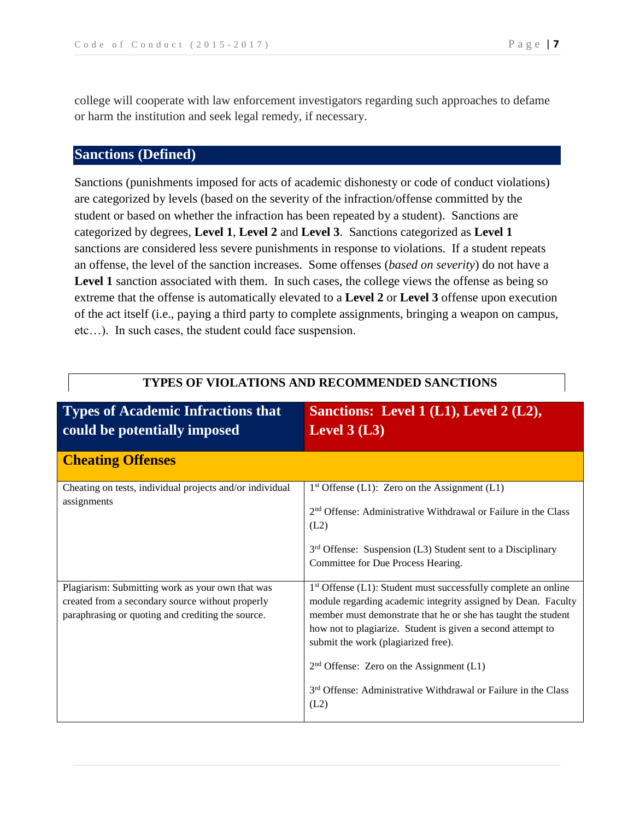college will cooperate with law enforcement investigators regarding such approaches to defame or harm the institution and seek legal remedy, if necessary.**ng**

## **Sanctions (Defined)**

Sanctions (punishments imposed for acts of academic dishonesty or code of conduct violations) are categorized by levels (based on the severity of the infraction/offense committed by the student or based on whether the infraction has been repeated by a student). Sanctions are categorized by degrees, **Level 1**, **Level 2** and **Level 3**. Sanctions categorized as **Level 1** sanctions are considered less severe punishments in response to violations. If a student repeats an offense, the level of the sanction increases. Some offenses (*based on severity*) do not have a Level 1 sanction associated with them. In such cases, the college views the offense as being so extreme that the offense is automatically elevated to a **Level 2** or **Level 3** offense upon execution of the act itself (i.e., paying a third party to complete assignments, bringing a weapon on campus, etc…). In such cases, the student could face suspension.

| <b>Types of Academic Infractions that</b><br>could be potentially imposed                                                                                 | Sanctions: Level 1 (L1), Level 2 (L2),<br>Level $3$ (L3)                                                                                                                                                                                                                                                                                                                                                                                     |
|-----------------------------------------------------------------------------------------------------------------------------------------------------------|----------------------------------------------------------------------------------------------------------------------------------------------------------------------------------------------------------------------------------------------------------------------------------------------------------------------------------------------------------------------------------------------------------------------------------------------|
| <b>Cheating Offenses</b>                                                                                                                                  |                                                                                                                                                                                                                                                                                                                                                                                                                                              |
| Cheating on tests, individual projects and/or individual<br>assignments                                                                                   | $1st$ Offense (L1): Zero on the Assignment (L1)<br>2 <sup>nd</sup> Offense: Administrative Withdrawal or Failure in the Class<br>(L2)<br>$3rd$ Offense: Suspension (L3) Student sent to a Disciplinary<br>Committee for Due Process Hearing.                                                                                                                                                                                                 |
| Plagiarism: Submitting work as your own that was<br>created from a secondary source without properly<br>paraphrasing or quoting and crediting the source. | $1st$ Offense (L1): Student must successfully complete an online<br>module regarding academic integrity assigned by Dean. Faculty<br>member must demonstrate that he or she has taught the student<br>how not to plagiarize. Student is given a second attempt to<br>submit the work (plagiarized free).<br>$2nd$ Offense: Zero on the Assignment (L1)<br>3 <sup>rd</sup> Offense: Administrative Withdrawal or Failure in the Class<br>(L2) |

#### **TYPES OF VIOLATIONS AND RECOMMENDED SANCTIONS**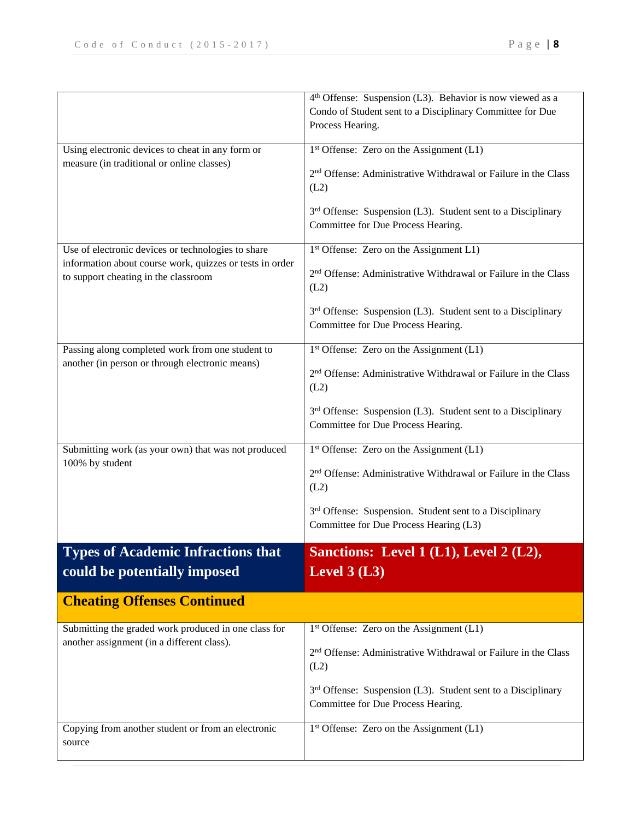|                                                                                                  | 4 <sup>th</sup> Offense: Suspension (L3). Behavior is now viewed as a<br>Condo of Student sent to a Disciplinary Committee for Due |
|--------------------------------------------------------------------------------------------------|------------------------------------------------------------------------------------------------------------------------------------|
|                                                                                                  | Process Hearing.                                                                                                                   |
| Using electronic devices to cheat in any form or                                                 | $1st$ Offense: Zero on the Assignment (L1)                                                                                         |
| measure (in traditional or online classes)                                                       | 2 <sup>nd</sup> Offense: Administrative Withdrawal or Failure in the Class<br>(L2)                                                 |
|                                                                                                  | 3 <sup>rd</sup> Offense: Suspension (L3). Student sent to a Disciplinary<br>Committee for Due Process Hearing.                     |
| Use of electronic devices or technologies to share                                               | 1 <sup>st</sup> Offense: Zero on the Assignment L1)                                                                                |
| information about course work, quizzes or tests in order<br>to support cheating in the classroom | 2 <sup>nd</sup> Offense: Administrative Withdrawal or Failure in the Class<br>(L2)                                                 |
|                                                                                                  | 3 <sup>rd</sup> Offense: Suspension (L3). Student sent to a Disciplinary<br>Committee for Due Process Hearing.                     |
| Passing along completed work from one student to                                                 | $1st$ Offense: Zero on the Assignment (L1)                                                                                         |
| another (in person or through electronic means)                                                  | 2 <sup>nd</sup> Offense: Administrative Withdrawal or Failure in the Class<br>(L2)                                                 |
|                                                                                                  | $3rd$ Offense: Suspension (L3). Student sent to a Disciplinary<br>Committee for Due Process Hearing.                               |
| Submitting work (as your own) that was not produced                                              | $1st$ Offense: Zero on the Assignment (L1)                                                                                         |
| 100% by student                                                                                  | 2 <sup>nd</sup> Offense: Administrative Withdrawal or Failure in the Class<br>(L2)                                                 |
|                                                                                                  | 3 <sup>rd</sup> Offense: Suspension. Student sent to a Disciplinary<br>Committee for Due Process Hearing (L3)                      |
| <b>Types of Academic Infractions that</b>                                                        | Sanctions: Level 1 (L1), Level 2 (L2),                                                                                             |
| could be potentially imposed                                                                     | Level $3$ (L3)                                                                                                                     |
| <b>Cheating Offenses Continued</b>                                                               |                                                                                                                                    |
| Submitting the graded work produced in one class for                                             | $1st$ Offense: Zero on the Assignment (L1)                                                                                         |
| another assignment (in a different class).                                                       | 2 <sup>nd</sup> Offense: Administrative Withdrawal or Failure in the Class<br>(L2)                                                 |
|                                                                                                  | 3 <sup>rd</sup> Offense: Suspension (L3). Student sent to a Disciplinary<br>Committee for Due Process Hearing.                     |
| Copying from another student or from an electronic<br>source                                     | $1st$ Offense: Zero on the Assignment (L1)                                                                                         |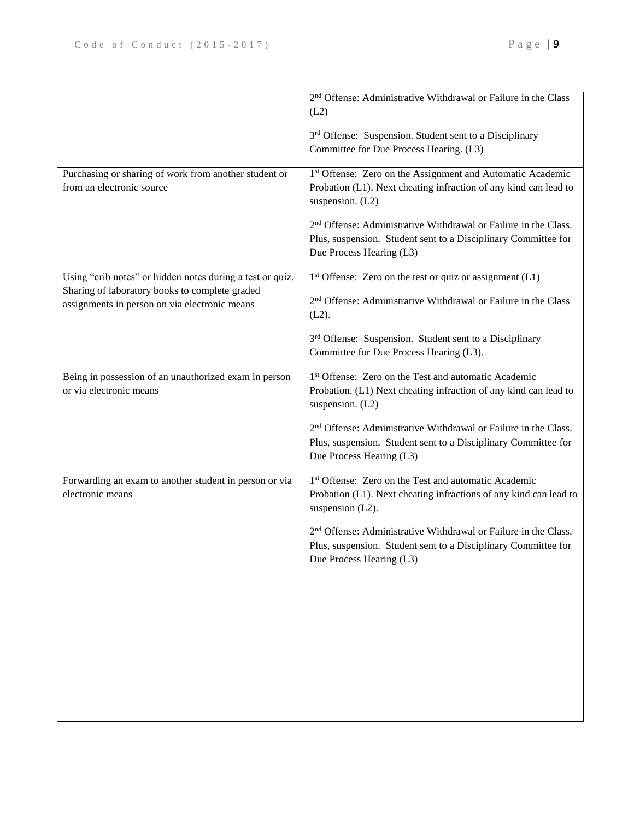|                                                           | 2 <sup>nd</sup> Offense: Administrative Withdrawal or Failure in the Class                         |
|-----------------------------------------------------------|----------------------------------------------------------------------------------------------------|
|                                                           | (L2)                                                                                               |
|                                                           |                                                                                                    |
|                                                           | 3rd Offense: Suspension. Student sent to a Disciplinary<br>Committee for Due Process Hearing. (L3) |
|                                                           |                                                                                                    |
| Purchasing or sharing of work from another student or     | 1st Offense: Zero on the Assignment and Automatic Academic                                         |
| from an electronic source                                 | Probation (L1). Next cheating infraction of any kind can lead to                                   |
|                                                           | suspension. (L2)                                                                                   |
|                                                           | 2 <sup>nd</sup> Offense: Administrative Withdrawal or Failure in the Class.                        |
|                                                           | Plus, suspension. Student sent to a Disciplinary Committee for                                     |
|                                                           | Due Process Hearing (L3)                                                                           |
|                                                           |                                                                                                    |
| Using "crib notes" or hidden notes during a test or quiz. | $1st$ Offense: Zero on the test or quiz or assignment (L1)                                         |
| Sharing of laboratory books to complete graded            | 2 <sup>nd</sup> Offense: Administrative Withdrawal or Failure in the Class                         |
| assignments in person on via electronic means             | $(L2)$ .                                                                                           |
|                                                           |                                                                                                    |
|                                                           | 3 <sup>rd</sup> Offense: Suspension. Student sent to a Disciplinary                                |
|                                                           | Committee for Due Process Hearing (L3).                                                            |
| Being in possession of an unauthorized exam in person     | 1 <sup>st</sup> Offense: Zero on the Test and automatic Academic                                   |
| or via electronic means                                   | Probation. (L1) Next cheating infraction of any kind can lead to                                   |
|                                                           | suspension. (L2)                                                                                   |
|                                                           | 2 <sup>nd</sup> Offense: Administrative Withdrawal or Failure in the Class.                        |
|                                                           | Plus, suspension. Student sent to a Disciplinary Committee for                                     |
|                                                           | Due Process Hearing (L3)                                                                           |
|                                                           |                                                                                                    |
| Forwarding an exam to another student in person or via    | 1 <sup>st</sup> Offense: Zero on the Test and automatic Academic                                   |
| electronic means                                          | Probation (L1). Next cheating infractions of any kind can lead to                                  |
|                                                           | suspension (L2).                                                                                   |
|                                                           | 2 <sup>nd</sup> Offense: Administrative Withdrawal or Failure in the Class.                        |
|                                                           | Plus, suspension. Student sent to a Disciplinary Committee for                                     |
|                                                           | Due Process Hearing (L3)                                                                           |
|                                                           |                                                                                                    |
|                                                           |                                                                                                    |
|                                                           |                                                                                                    |
|                                                           |                                                                                                    |
|                                                           |                                                                                                    |
|                                                           |                                                                                                    |
|                                                           |                                                                                                    |
|                                                           |                                                                                                    |
|                                                           |                                                                                                    |
|                                                           |                                                                                                    |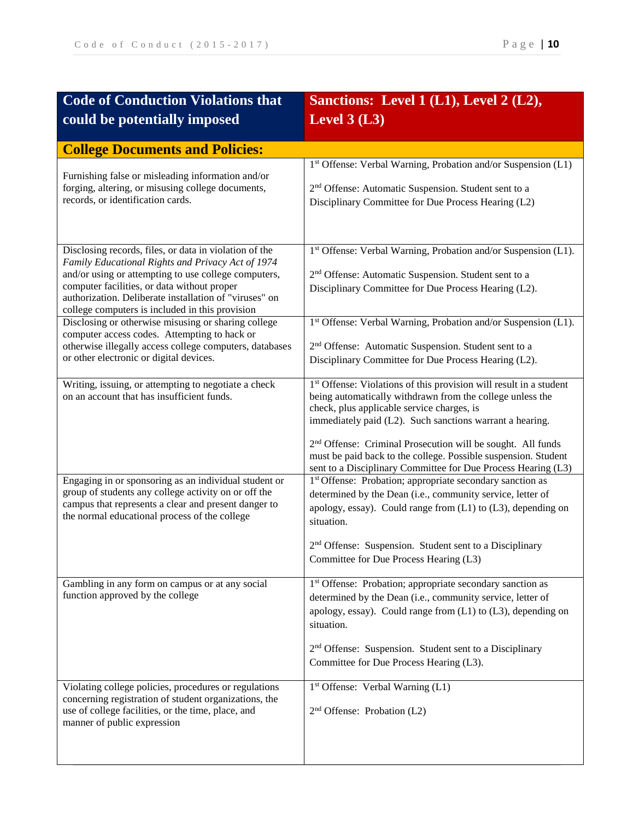| <b>Code of Conduction Violations that</b>                                                                                                                                                                                                                                                                                       | Sanctions: Level $1(L1)$ , Level $2(L2)$ ,                                                                                                                                                                                                                                                                                                                                                                                                                          |
|---------------------------------------------------------------------------------------------------------------------------------------------------------------------------------------------------------------------------------------------------------------------------------------------------------------------------------|---------------------------------------------------------------------------------------------------------------------------------------------------------------------------------------------------------------------------------------------------------------------------------------------------------------------------------------------------------------------------------------------------------------------------------------------------------------------|
| could be potentially imposed                                                                                                                                                                                                                                                                                                    | Level $3(L3)$                                                                                                                                                                                                                                                                                                                                                                                                                                                       |
| <b>College Documents and Policies:</b>                                                                                                                                                                                                                                                                                          |                                                                                                                                                                                                                                                                                                                                                                                                                                                                     |
| Furnishing false or misleading information and/or<br>forging, altering, or misusing college documents,<br>records, or identification cards.                                                                                                                                                                                     | 1st Offense: Verbal Warning, Probation and/or Suspension (L1)<br>2 <sup>nd</sup> Offense: Automatic Suspension. Student sent to a<br>Disciplinary Committee for Due Process Hearing (L2)                                                                                                                                                                                                                                                                            |
| Disclosing records, files, or data in violation of the<br>Family Educational Rights and Privacy Act of 1974<br>and/or using or attempting to use college computers,<br>computer facilities, or data without proper<br>authorization. Deliberate installation of "viruses" on<br>college computers is included in this provision | 1st Offense: Verbal Warning, Probation and/or Suspension (L1).<br>2 <sup>nd</sup> Offense: Automatic Suspension. Student sent to a<br>Disciplinary Committee for Due Process Hearing (L2).                                                                                                                                                                                                                                                                          |
| Disclosing or otherwise misusing or sharing college<br>computer access codes. Attempting to hack or<br>otherwise illegally access college computers, databases<br>or other electronic or digital devices.                                                                                                                       | 1st Offense: Verbal Warning, Probation and/or Suspension (L1).<br>2 <sup>nd</sup> Offense: Automatic Suspension. Student sent to a<br>Disciplinary Committee for Due Process Hearing (L2).                                                                                                                                                                                                                                                                          |
| Writing, issuing, or attempting to negotiate a check<br>on an account that has insufficient funds.                                                                                                                                                                                                                              | 1 <sup>st</sup> Offense: Violations of this provision will result in a student<br>being automatically withdrawn from the college unless the<br>check, plus applicable service charges, is<br>immediately paid (L2). Such sanctions warrant a hearing.<br>2 <sup>nd</sup> Offense: Criminal Prosecution will be sought. All funds<br>must be paid back to the college. Possible suspension. Student<br>sent to a Disciplinary Committee for Due Process Hearing (L3) |
| Engaging in or sponsoring as an individual student or<br>group of students any college activity on or off the<br>campus that represents a clear and present danger to<br>the normal educational process of the college                                                                                                          | 1 <sup>st</sup> Offense: Probation; appropriate secondary sanction as<br>determined by the Dean (i.e., community service, letter of<br>apology, essay). Could range from (L1) to (L3), depending on<br>situation.<br>2 <sup>nd</sup> Offense: Suspension. Student sent to a Disciplinary<br>Committee for Due Process Hearing (L3)                                                                                                                                  |
| Gambling in any form on campus or at any social<br>function approved by the college                                                                                                                                                                                                                                             | 1st Offense: Probation; appropriate secondary sanction as<br>determined by the Dean (i.e., community service, letter of<br>apology, essay). Could range from $(L1)$ to $(L3)$ , depending on<br>situation.<br>2 <sup>nd</sup> Offense: Suspension. Student sent to a Disciplinary<br>Committee for Due Process Hearing (L3).                                                                                                                                        |
| Violating college policies, procedures or regulations<br>concerning registration of student organizations, the<br>use of college facilities, or the time, place, and<br>manner of public expression                                                                                                                             | 1st Offense: Verbal Warning (L1)<br>2 <sup>nd</sup> Offense: Probation (L2)                                                                                                                                                                                                                                                                                                                                                                                         |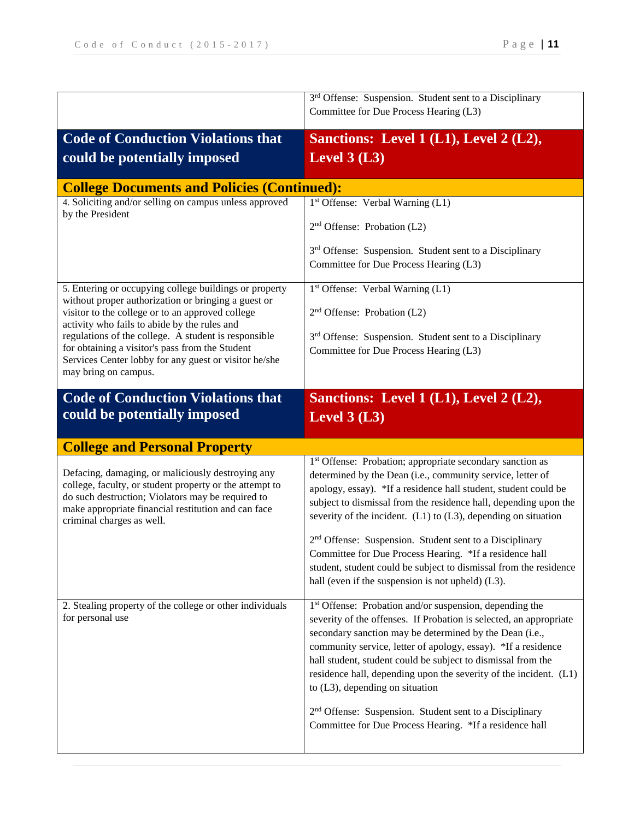|                                                                                                               | 3 <sup>rd</sup> Offense: Suspension. Student sent to a Disciplinary<br>Committee for Due Process Hearing (L3)                           |
|---------------------------------------------------------------------------------------------------------------|-----------------------------------------------------------------------------------------------------------------------------------------|
| <b>Code of Conduction Violations that</b>                                                                     | Sanctions: Level 1 (L1), Level 2 (L2),                                                                                                  |
| could be potentially imposed                                                                                  | Level $3(L3)$                                                                                                                           |
| <b>College Documents and Policies (Continued):</b>                                                            |                                                                                                                                         |
| 4. Soliciting and/or selling on campus unless approved<br>by the President                                    | 1 <sup>st</sup> Offense: Verbal Warning (L1)                                                                                            |
|                                                                                                               | $2nd$ Offense: Probation (L2)                                                                                                           |
|                                                                                                               | 3 <sup>rd</sup> Offense: Suspension. Student sent to a Disciplinary                                                                     |
|                                                                                                               | Committee for Due Process Hearing (L3)                                                                                                  |
| 5. Entering or occupying college buildings or property<br>without proper authorization or bringing a guest or | 1 <sup>st</sup> Offense: Verbal Warning (L1)                                                                                            |
| visitor to the college or to an approved college<br>activity who fails to abide by the rules and              | $2nd$ Offense: Probation (L2)                                                                                                           |
| regulations of the college. A student is responsible<br>for obtaining a visitor's pass from the Student       | 3rd Offense: Suspension. Student sent to a Disciplinary                                                                                 |
| Services Center lobby for any guest or visitor he/she                                                         | Committee for Due Process Hearing (L3)                                                                                                  |
| may bring on campus.                                                                                          |                                                                                                                                         |
| <b>Code of Conduction Violations that</b>                                                                     | Sanctions: Level 1 (L1), Level 2 (L2),                                                                                                  |
| could be potentially imposed                                                                                  | Level $3(L3)$                                                                                                                           |
| <b>College and Personal Property</b>                                                                          |                                                                                                                                         |
| Defacing, damaging, or maliciously destroying any                                                             | 1st Offense: Probation; appropriate secondary sanction as<br>determined by the Dean (i.e., community service, letter of                 |
| college, faculty, or student property or the attempt to<br>do such destruction; Violators may be required to  | apology, essay). *If a residence hall student, student could be                                                                         |
| make appropriate financial restitution and can face<br>criminal charges as well.                              | subject to dismissal from the residence hall, depending upon the<br>severity of the incident. $(L1)$ to $(L3)$ , depending on situation |
|                                                                                                               | 2 <sup>nd</sup> Offense: Suspension. Student sent to a Disciplinary                                                                     |
|                                                                                                               | Committee for Due Process Hearing. *If a residence hall<br>student, student could be subject to dismissal from the residence            |
|                                                                                                               | hall (even if the suspension is not upheld) (L3).                                                                                       |
| 2. Stealing property of the college or other individuals                                                      | 1 <sup>st</sup> Offense: Probation and/or suspension, depending the                                                                     |
| for personal use                                                                                              | severity of the offenses. If Probation is selected, an appropriate<br>secondary sanction may be determined by the Dean (i.e.,           |
|                                                                                                               | community service, letter of apology, essay). *If a residence                                                                           |
|                                                                                                               | hall student, student could be subject to dismissal from the<br>residence hall, depending upon the severity of the incident. (L1)       |
|                                                                                                               | to $(L3)$ , depending on situation                                                                                                      |
|                                                                                                               | 2 <sup>nd</sup> Offense: Suspension. Student sent to a Disciplinary                                                                     |
|                                                                                                               | Committee for Due Process Hearing. *If a residence hall                                                                                 |
|                                                                                                               |                                                                                                                                         |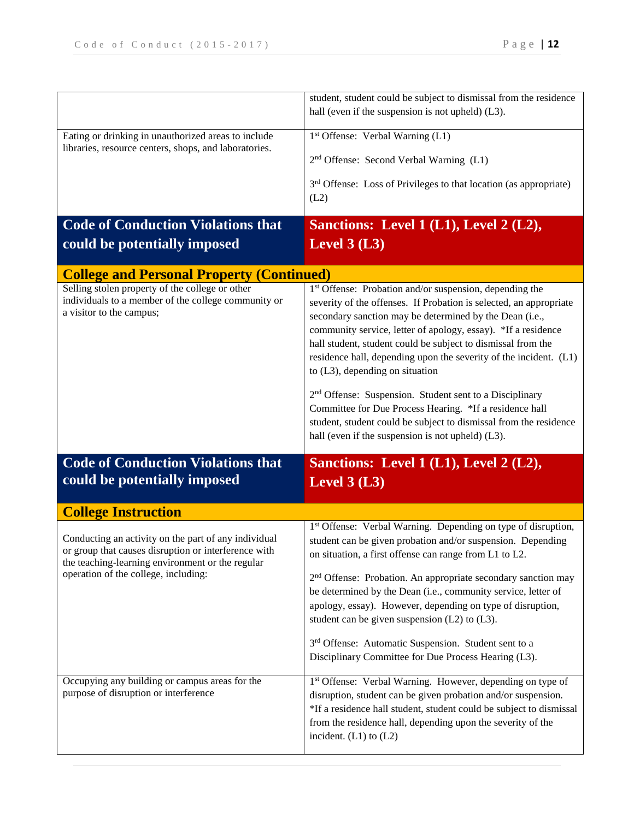|                                                                                                              | student, student could be subject to dismissal from the residence                                                           |
|--------------------------------------------------------------------------------------------------------------|-----------------------------------------------------------------------------------------------------------------------------|
|                                                                                                              | hall (even if the suspension is not upheld) (L3).                                                                           |
| Eating or drinking in unauthorized areas to include                                                          | 1st Offense: Verbal Warning (L1)                                                                                            |
| libraries, resource centers, shops, and laboratories.                                                        | 2 <sup>nd</sup> Offense: Second Verbal Warning (L1)                                                                         |
|                                                                                                              |                                                                                                                             |
|                                                                                                              | 3 <sup>rd</sup> Offense: Loss of Privileges to that location (as appropriate)                                               |
|                                                                                                              | (L2)                                                                                                                        |
| <b>Code of Conduction Violations that</b>                                                                    | Sanctions: Level 1 (L1), Level 2 (L2),                                                                                      |
| could be potentially imposed                                                                                 | Level $3(L3)$                                                                                                               |
| <b>College and Personal Property (Continued)</b>                                                             |                                                                                                                             |
| Selling stolen property of the college or other                                                              | 1 <sup>st</sup> Offense: Probation and/or suspension, depending the                                                         |
| individuals to a member of the college community or<br>a visitor to the campus;                              | severity of the offenses. If Probation is selected, an appropriate                                                          |
|                                                                                                              | secondary sanction may be determined by the Dean (i.e.,<br>community service, letter of apology, essay). *If a residence    |
|                                                                                                              | hall student, student could be subject to dismissal from the                                                                |
|                                                                                                              | residence hall, depending upon the severity of the incident. (L1)                                                           |
|                                                                                                              | to $(L3)$ , depending on situation                                                                                          |
|                                                                                                              | 2 <sup>nd</sup> Offense: Suspension. Student sent to a Disciplinary                                                         |
|                                                                                                              | Committee for Due Process Hearing. *If a residence hall                                                                     |
|                                                                                                              |                                                                                                                             |
|                                                                                                              | student, student could be subject to dismissal from the residence                                                           |
|                                                                                                              | hall (even if the suspension is not upheld) (L3).                                                                           |
| <b>Code of Conduction Violations that</b>                                                                    | Sanctions: Level 1 (L1), Level 2 (L2),                                                                                      |
| could be potentially imposed                                                                                 |                                                                                                                             |
|                                                                                                              | Level $3(L3)$                                                                                                               |
| <b>College Instruction</b>                                                                                   |                                                                                                                             |
|                                                                                                              | 1st Offense: Verbal Warning. Depending on type of disruption,                                                               |
| Conducting an activity on the part of any individual<br>or group that causes disruption or interference with | student can be given probation and/or suspension. Depending                                                                 |
| the teaching-learning environment or the regular                                                             | on situation, a first offense can range from L1 to L2.                                                                      |
| operation of the college, including:                                                                         | 2 <sup>nd</sup> Offense: Probation. An appropriate secondary sanction may                                                   |
|                                                                                                              | be determined by the Dean (i.e., community service, letter of<br>apology, essay). However, depending on type of disruption, |
|                                                                                                              | student can be given suspension $(L2)$ to $(L3)$ .                                                                          |
|                                                                                                              | 3 <sup>rd</sup> Offense: Automatic Suspension. Student sent to a                                                            |
|                                                                                                              | Disciplinary Committee for Due Process Hearing (L3).                                                                        |
| Occupying any building or campus areas for the                                                               | 1st Offense: Verbal Warning. However, depending on type of                                                                  |
| purpose of disruption or interference                                                                        | disruption, student can be given probation and/or suspension.                                                               |
|                                                                                                              | *If a residence hall student, student could be subject to dismissal                                                         |
|                                                                                                              | from the residence hall, depending upon the severity of the<br>incident. $(L1)$ to $(L2)$                                   |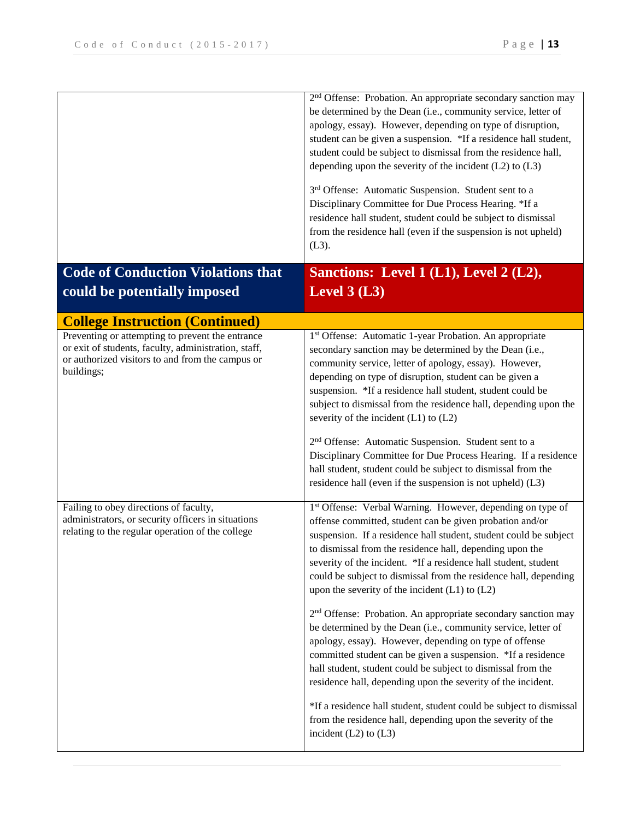|                                                                                                                                                                                                                      | 2 <sup>nd</sup> Offense: Probation. An appropriate secondary sanction may<br>be determined by the Dean (i.e., community service, letter of<br>apology, essay). However, depending on type of disruption,<br>student can be given a suspension. *If a residence hall student,<br>student could be subject to dismissal from the residence hall,<br>depending upon the severity of the incident $(L2)$ to $(L3)$<br>3 <sup>rd</sup> Offense: Automatic Suspension. Student sent to a<br>Disciplinary Committee for Due Process Hearing. *If a<br>residence hall student, student could be subject to dismissal<br>from the residence hall (even if the suspension is not upheld)<br>$(L3)$ .                                                                                                                                                                                                                                                                                                                                      |
|----------------------------------------------------------------------------------------------------------------------------------------------------------------------------------------------------------------------|---------------------------------------------------------------------------------------------------------------------------------------------------------------------------------------------------------------------------------------------------------------------------------------------------------------------------------------------------------------------------------------------------------------------------------------------------------------------------------------------------------------------------------------------------------------------------------------------------------------------------------------------------------------------------------------------------------------------------------------------------------------------------------------------------------------------------------------------------------------------------------------------------------------------------------------------------------------------------------------------------------------------------------|
| <b>Code of Conduction Violations that</b><br>could be potentially imposed                                                                                                                                            | Sanctions: Level 1 (L1), Level 2 (L2),<br>Level $3(L3)$                                                                                                                                                                                                                                                                                                                                                                                                                                                                                                                                                                                                                                                                                                                                                                                                                                                                                                                                                                         |
|                                                                                                                                                                                                                      |                                                                                                                                                                                                                                                                                                                                                                                                                                                                                                                                                                                                                                                                                                                                                                                                                                                                                                                                                                                                                                 |
| <b>College Instruction (Continued)</b><br>Preventing or attempting to prevent the entrance<br>or exit of students, faculty, administration, staff,<br>or authorized visitors to and from the campus or<br>buildings; | 1st Offense: Automatic 1-year Probation. An appropriate<br>secondary sanction may be determined by the Dean (i.e.,<br>community service, letter of apology, essay). However,<br>depending on type of disruption, student can be given a<br>suspension. *If a residence hall student, student could be<br>subject to dismissal from the residence hall, depending upon the<br>severity of the incident $(L1)$ to $(L2)$<br>2 <sup>nd</sup> Offense: Automatic Suspension. Student sent to a<br>Disciplinary Committee for Due Process Hearing. If a residence<br>hall student, student could be subject to dismissal from the<br>residence hall (even if the suspension is not upheld) (L3)                                                                                                                                                                                                                                                                                                                                      |
| Failing to obey directions of faculty,<br>administrators, or security officers in situations<br>relating to the regular operation of the college                                                                     | 1st Offense: Verbal Warning. However, depending on type of<br>offense committed, student can be given probation and/or<br>suspension. If a residence hall student, student could be subject<br>to dismissal from the residence hall, depending upon the<br>severity of the incident. *If a residence hall student, student<br>could be subject to dismissal from the residence hall, depending<br>upon the severity of the incident $(L1)$ to $(L2)$<br>2 <sup>nd</sup> Offense: Probation. An appropriate secondary sanction may<br>be determined by the Dean (i.e., community service, letter of<br>apology, essay). However, depending on type of offense<br>committed student can be given a suspension. *If a residence<br>hall student, student could be subject to dismissal from the<br>residence hall, depending upon the severity of the incident.<br>*If a residence hall student, student could be subject to dismissal<br>from the residence hall, depending upon the severity of the<br>incident $(L2)$ to $(L3)$ |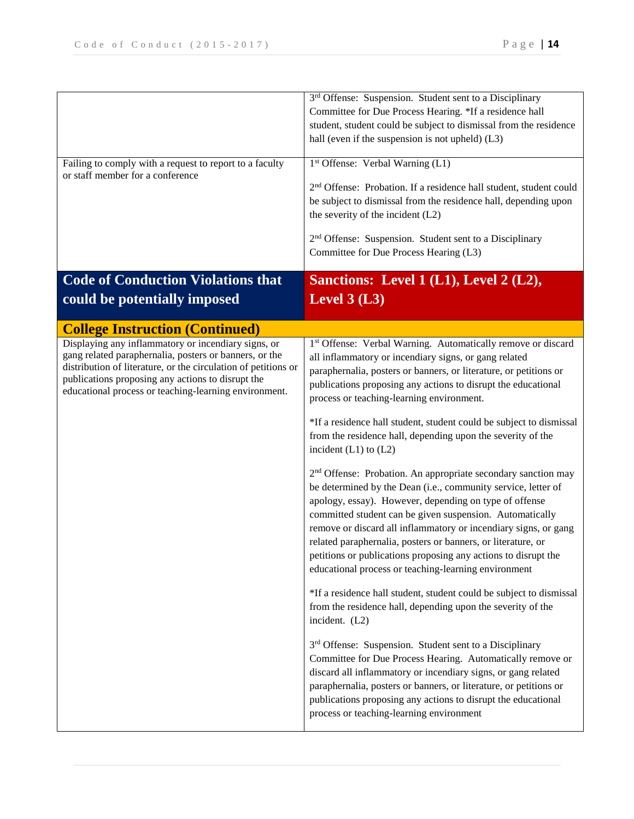| Failing to comply with a request to report to a faculty<br>or staff member for a conference                                                                                                                                            | 3 <sup>rd</sup> Offense: Suspension. Student sent to a Disciplinary<br>Committee for Due Process Hearing. *If a residence hall<br>student, student could be subject to dismissal from the residence<br>hall (even if the suspension is not upheld) (L3)<br>1 <sup>st</sup> Offense: Verbal Warning (L1)<br>2 <sup>nd</sup> Offense: Probation. If a residence hall student, student could<br>be subject to dismissal from the residence hall, depending upon<br>the severity of the incident (L2)<br>2 <sup>nd</sup> Offense: Suspension. Student sent to a Disciplinary<br>Committee for Due Process Hearing (L3) |
|----------------------------------------------------------------------------------------------------------------------------------------------------------------------------------------------------------------------------------------|--------------------------------------------------------------------------------------------------------------------------------------------------------------------------------------------------------------------------------------------------------------------------------------------------------------------------------------------------------------------------------------------------------------------------------------------------------------------------------------------------------------------------------------------------------------------------------------------------------------------|
| <b>Code of Conduction Violations that</b><br>could be potentially imposed                                                                                                                                                              | Sanctions: Level 1 (L1), Level 2 (L2),<br>Level $3(L3)$                                                                                                                                                                                                                                                                                                                                                                                                                                                                                                                                                            |
| <b>College Instruction (Continued)</b><br>Displaying any inflammatory or incendiary signs, or                                                                                                                                          | 1st Offense: Verbal Warning. Automatically remove or discard                                                                                                                                                                                                                                                                                                                                                                                                                                                                                                                                                       |
| gang related paraphernalia, posters or banners, or the<br>distribution of literature, or the circulation of petitions or<br>publications proposing any actions to disrupt the<br>educational process or teaching-learning environment. | all inflammatory or incendiary signs, or gang related<br>paraphernalia, posters or banners, or literature, or petitions or<br>publications proposing any actions to disrupt the educational<br>process or teaching-learning environment.                                                                                                                                                                                                                                                                                                                                                                           |
|                                                                                                                                                                                                                                        | *If a residence hall student, student could be subject to dismissal<br>from the residence hall, depending upon the severity of the<br>incident $(L1)$ to $(L2)$                                                                                                                                                                                                                                                                                                                                                                                                                                                    |
|                                                                                                                                                                                                                                        | 2 <sup>nd</sup> Offense: Probation. An appropriate secondary sanction may<br>be determined by the Dean (i.e., community service, letter of<br>apology, essay). However, depending on type of offense<br>committed student can be given suspension. Automatically<br>remove or discard all inflammatory or incendiary signs, or gang<br>related paraphernalia, posters or banners, or literature, or<br>petitions or publications proposing any actions to disrupt the<br>educational process or teaching-learning environment                                                                                      |
|                                                                                                                                                                                                                                        | *If a residence hall student, student could be subject to dismissal<br>from the residence hall, depending upon the severity of the<br>incident. (L2)                                                                                                                                                                                                                                                                                                                                                                                                                                                               |
|                                                                                                                                                                                                                                        | 3rd Offense: Suspension. Student sent to a Disciplinary<br>Committee for Due Process Hearing. Automatically remove or<br>discard all inflammatory or incendiary signs, or gang related<br>paraphernalia, posters or banners, or literature, or petitions or<br>publications proposing any actions to disrupt the educational<br>process or teaching-learning environment                                                                                                                                                                                                                                           |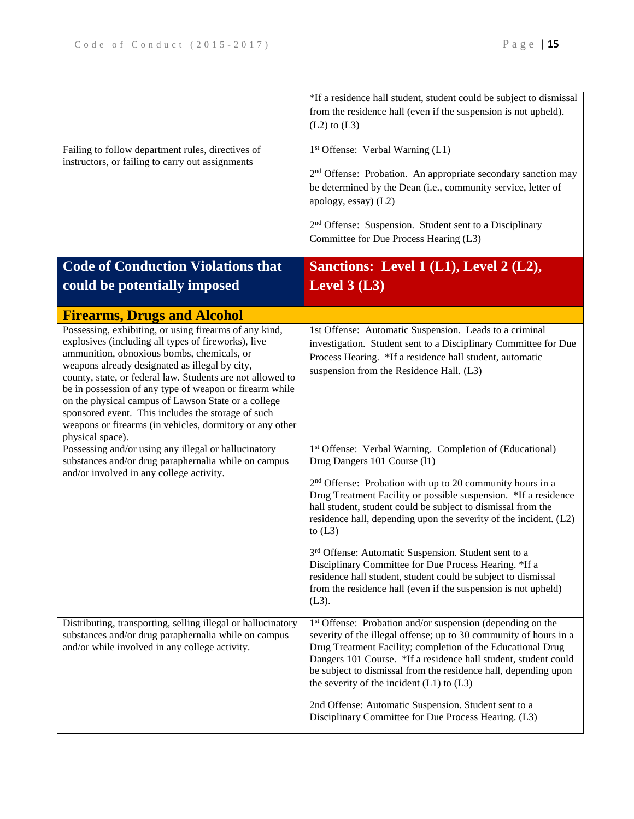|                                                                                                                | *If a residence hall student, student could be subject to dismissal       |
|----------------------------------------------------------------------------------------------------------------|---------------------------------------------------------------------------|
|                                                                                                                | from the residence hall (even if the suspension is not upheld).           |
|                                                                                                                | $(L2)$ to $(L3)$                                                          |
|                                                                                                                |                                                                           |
| Failing to follow department rules, directives of                                                              | 1st Offense: Verbal Warning (L1)                                          |
| instructors, or failing to carry out assignments                                                               |                                                                           |
|                                                                                                                | 2 <sup>nd</sup> Offense: Probation. An appropriate secondary sanction may |
|                                                                                                                | be determined by the Dean (i.e., community service, letter of             |
|                                                                                                                | apology, essay) (L2)                                                      |
|                                                                                                                | 2 <sup>nd</sup> Offense: Suspension. Student sent to a Disciplinary       |
|                                                                                                                | Committee for Due Process Hearing (L3)                                    |
|                                                                                                                |                                                                           |
| <b>Code of Conduction Violations that</b>                                                                      | Sanctions: Level 1 (L1), Level 2 (L2),                                    |
|                                                                                                                | Level $3(L3)$                                                             |
| could be potentially imposed                                                                                   |                                                                           |
|                                                                                                                |                                                                           |
| <b>Firearms, Drugs and Alcohol</b>                                                                             |                                                                           |
| Possessing, exhibiting, or using firearms of any kind,<br>explosives (including all types of fireworks), live  | 1st Offense: Automatic Suspension. Leads to a criminal                    |
| ammunition, obnoxious bombs, chemicals, or                                                                     | investigation. Student sent to a Disciplinary Committee for Due           |
| weapons already designated as illegal by city,                                                                 | Process Hearing. *If a residence hall student, automatic                  |
| county, state, or federal law. Students are not allowed to                                                     | suspension from the Residence Hall. (L3)                                  |
| be in possession of any type of weapon or firearm while                                                        |                                                                           |
| on the physical campus of Lawson State or a college                                                            |                                                                           |
| sponsored event. This includes the storage of such<br>weapons or firearms (in vehicles, dormitory or any other |                                                                           |
| physical space).                                                                                               |                                                                           |
| Possessing and/or using any illegal or hallucinatory                                                           | 1st Offense: Verbal Warning. Completion of (Educational)                  |
| substances and/or drug paraphernalia while on campus                                                           | Drug Dangers 101 Course (11)                                              |
| and/or involved in any college activity.                                                                       | 2 <sup>nd</sup> Offense: Probation with up to 20 community hours in a     |
|                                                                                                                | Drug Treatment Facility or possible suspension. *If a residence           |
|                                                                                                                | hall student, student could be subject to dismissal from the              |
|                                                                                                                | residence hall, depending upon the severity of the incident. (L2)         |
|                                                                                                                | to $(L3)$                                                                 |
|                                                                                                                | 3 <sup>rd</sup> Offense: Automatic Suspension. Student sent to a          |
|                                                                                                                | Disciplinary Committee for Due Process Hearing. *If a                     |
|                                                                                                                | residence hall student, student could be subject to dismissal             |
|                                                                                                                | from the residence hall (even if the suspension is not upheld)            |
|                                                                                                                | $(L3)$ .                                                                  |
| Distributing, transporting, selling illegal or hallucinatory                                                   | 1 <sup>st</sup> Offense: Probation and/or suspension (depending on the    |
| substances and/or drug paraphernalia while on campus                                                           | severity of the illegal offense; up to 30 community of hours in a         |
| and/or while involved in any college activity.                                                                 | Drug Treatment Facility; completion of the Educational Drug               |
|                                                                                                                | Dangers 101 Course. *If a residence hall student, student could           |
|                                                                                                                | be subject to dismissal from the residence hall, depending upon           |
|                                                                                                                | the severity of the incident $(L1)$ to $(L3)$                             |
|                                                                                                                | 2nd Offense: Automatic Suspension. Student sent to a                      |
|                                                                                                                | Disciplinary Committee for Due Process Hearing. (L3)                      |
|                                                                                                                |                                                                           |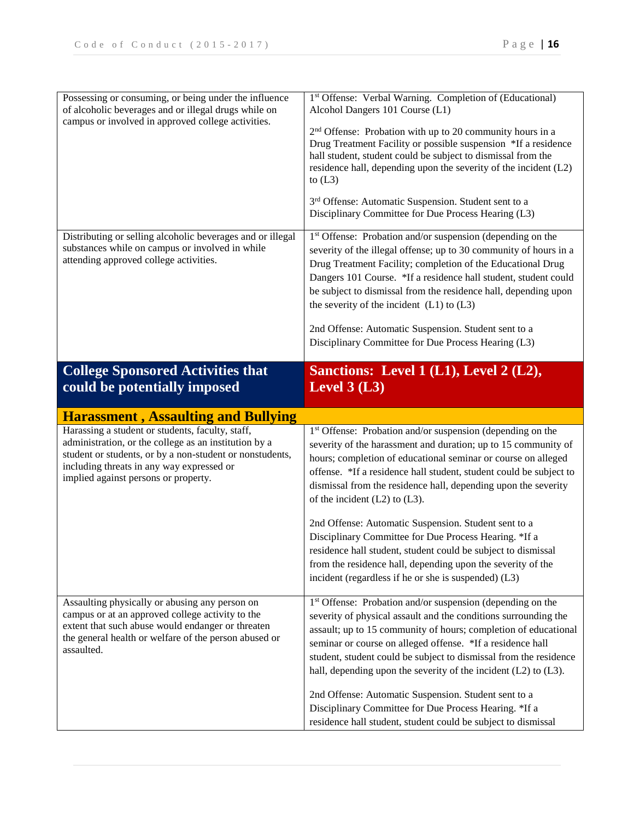| Possessing or consuming, or being under the influence<br>of alcoholic beverages and or illegal drugs while on<br>campus or involved in approved college activities.                                                                                        | 1st Offense: Verbal Warning. Completion of (Educational)<br>Alcohol Dangers 101 Course (L1)<br>2 <sup>nd</sup> Offense: Probation with up to 20 community hours in a<br>Drug Treatment Facility or possible suspension *If a residence<br>hall student, student could be subject to dismissal from the<br>residence hall, depending upon the severity of the incident (L2)<br>to $(L3)$<br>3rd Offense: Automatic Suspension. Student sent to a<br>Disciplinary Committee for Due Process Hearing (L3)           |
|------------------------------------------------------------------------------------------------------------------------------------------------------------------------------------------------------------------------------------------------------------|------------------------------------------------------------------------------------------------------------------------------------------------------------------------------------------------------------------------------------------------------------------------------------------------------------------------------------------------------------------------------------------------------------------------------------------------------------------------------------------------------------------|
| Distributing or selling alcoholic beverages and or illegal<br>substances while on campus or involved in while<br>attending approved college activities.                                                                                                    | 1 <sup>st</sup> Offense: Probation and/or suspension (depending on the<br>severity of the illegal offense; up to 30 community of hours in a<br>Drug Treatment Facility; completion of the Educational Drug<br>Dangers 101 Course. *If a residence hall student, student could<br>be subject to dismissal from the residence hall, depending upon<br>the severity of the incident $(L1)$ to $(L3)$<br>2nd Offense: Automatic Suspension. Student sent to a<br>Disciplinary Committee for Due Process Hearing (L3) |
| <b>College Sponsored Activities that</b><br>could be potentially imposed                                                                                                                                                                                   | Sanctions: Level 1 (L1), Level 2 (L2),<br>Level $3(L3)$                                                                                                                                                                                                                                                                                                                                                                                                                                                          |
| <b>Harassment, Assaulting and Bullying</b>                                                                                                                                                                                                                 |                                                                                                                                                                                                                                                                                                                                                                                                                                                                                                                  |
|                                                                                                                                                                                                                                                            |                                                                                                                                                                                                                                                                                                                                                                                                                                                                                                                  |
| Harassing a student or students, faculty, staff,<br>administration, or the college as an institution by a<br>student or students, or by a non-student or nonstudents,<br>including threats in any way expressed or<br>implied against persons or property. | 1 <sup>st</sup> Offense: Probation and/or suspension (depending on the<br>severity of the harassment and duration; up to 15 community of<br>hours; completion of educational seminar or course on alleged<br>offense. *If a residence hall student, student could be subject to<br>dismissal from the residence hall, depending upon the severity<br>of the incident $(L2)$ to $(L3)$ .                                                                                                                          |
|                                                                                                                                                                                                                                                            | 2nd Offense: Automatic Suspension. Student sent to a<br>Disciplinary Committee for Due Process Hearing. *If a<br>residence hall student, student could be subject to dismissal<br>from the residence hall, depending upon the severity of the<br>incident (regardless if he or she is suspended) (L3)                                                                                                                                                                                                            |
| Assaulting physically or abusing any person on<br>campus or at an approved college activity to the<br>extent that such abuse would endanger or threaten<br>the general health or welfare of the person abused or<br>assaulted.                             | 1st Offense: Probation and/or suspension (depending on the<br>severity of physical assault and the conditions surrounding the<br>assault; up to 15 community of hours; completion of educational<br>seminar or course on alleged offense. *If a residence hall<br>student, student could be subject to dismissal from the residence<br>hall, depending upon the severity of the incident (L2) to (L3).                                                                                                           |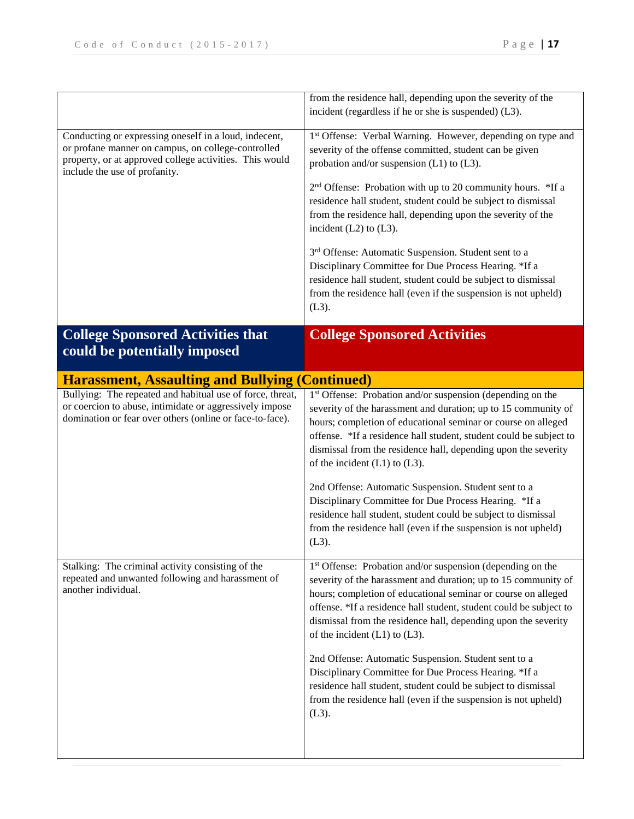|                                                                                                                                                                                                         | from the residence hall, depending upon the severity of the                                                                                                                                                                                                                                                                                                                                                                                                                                                                                                               |
|---------------------------------------------------------------------------------------------------------------------------------------------------------------------------------------------------------|---------------------------------------------------------------------------------------------------------------------------------------------------------------------------------------------------------------------------------------------------------------------------------------------------------------------------------------------------------------------------------------------------------------------------------------------------------------------------------------------------------------------------------------------------------------------------|
|                                                                                                                                                                                                         | incident (regardless if he or she is suspended) (L3).                                                                                                                                                                                                                                                                                                                                                                                                                                                                                                                     |
| Conducting or expressing oneself in a loud, indecent,<br>or profane manner on campus, on college-controlled<br>property, or at approved college activities. This would<br>include the use of profanity. | 1st Offense: Verbal Warning. However, depending on type and<br>severity of the offense committed, student can be given<br>probation and/or suspension (L1) to (L3).                                                                                                                                                                                                                                                                                                                                                                                                       |
|                                                                                                                                                                                                         | 2 <sup>nd</sup> Offense: Probation with up to 20 community hours. *If a<br>residence hall student, student could be subject to dismissal<br>from the residence hall, depending upon the severity of the<br>incident $(L2)$ to $(L3)$ .                                                                                                                                                                                                                                                                                                                                    |
|                                                                                                                                                                                                         | 3rd Offense: Automatic Suspension. Student sent to a<br>Disciplinary Committee for Due Process Hearing. *If a<br>residence hall student, student could be subject to dismissal<br>from the residence hall (even if the suspension is not upheld)<br>$(L3)$ .                                                                                                                                                                                                                                                                                                              |
| <b>College Sponsored Activities that</b><br>could be potentially imposed                                                                                                                                | <b>College Sponsored Activities</b>                                                                                                                                                                                                                                                                                                                                                                                                                                                                                                                                       |
| <b>Harassment, Assaulting and Bullying (Continued)</b>                                                                                                                                                  |                                                                                                                                                                                                                                                                                                                                                                                                                                                                                                                                                                           |
| Bullying: The repeated and habitual use of force, threat,<br>or coercion to abuse, intimidate or aggressively impose<br>domination or fear over others (online or face-to-face).                        | 1 <sup>st</sup> Offense: Probation and/or suspension (depending on the<br>severity of the harassment and duration; up to 15 community of<br>hours; completion of educational seminar or course on alleged<br>offense. *If a residence hall student, student could be subject to<br>dismissal from the residence hall, depending upon the severity<br>of the incident $(L1)$ to $(L3)$ .<br>2nd Offense: Automatic Suspension. Student sent to a<br>Disciplinary Committee for Due Process Hearing. *If a<br>residence hall student, student could be subject to dismissal |
|                                                                                                                                                                                                         | from the residence hall (even if the suspension is not upheld)<br>$(L3)$ .                                                                                                                                                                                                                                                                                                                                                                                                                                                                                                |
| Stalking: The criminal activity consisting of the<br>repeated and unwanted following and harassment of<br>another individual.                                                                           | 1 <sup>st</sup> Offense: Probation and/or suspension (depending on the<br>severity of the harassment and duration; up to 15 community of<br>hours; completion of educational seminar or course on alleged<br>offense. *If a residence hall student, student could be subject to<br>dismissal from the residence hall, depending upon the severity<br>of the incident $(L1)$ to $(L3)$ .                                                                                                                                                                                   |
|                                                                                                                                                                                                         | 2nd Offense: Automatic Suspension. Student sent to a<br>Disciplinary Committee for Due Process Hearing. *If a<br>residence hall student, student could be subject to dismissal<br>from the residence hall (even if the suspension is not upheld)<br>$(L3)$ .                                                                                                                                                                                                                                                                                                              |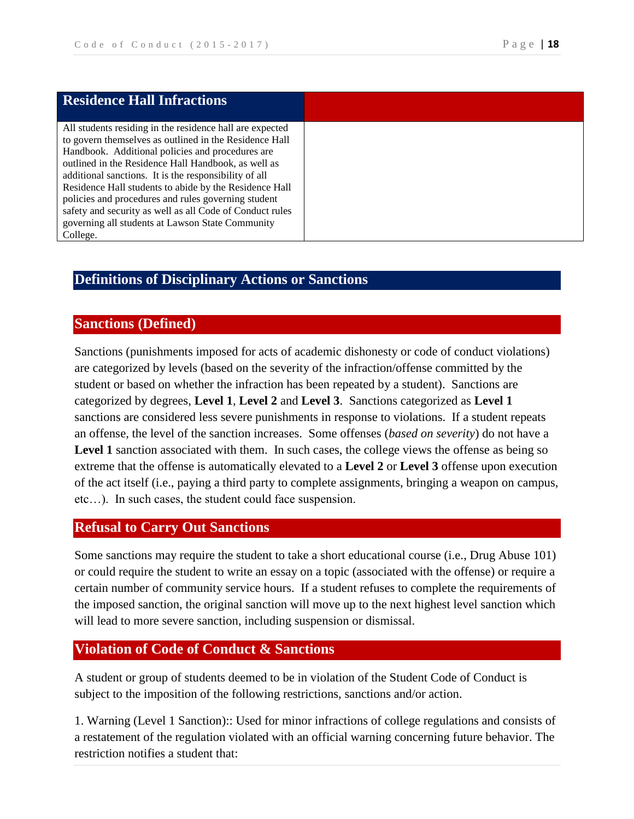| <b>Residence Hall Infractions</b>                        |
|----------------------------------------------------------|
|                                                          |
|                                                          |
| All students residing in the residence hall are expected |
| to govern themselves as outlined in the Residence Hall   |
| Handbook. Additional policies and procedures are         |
| outlined in the Residence Hall Handbook, as well as      |
| additional sanctions. It is the responsibility of all    |
| Residence Hall students to abide by the Residence Hall   |
| policies and procedures and rules governing student      |
| safety and security as well as all Code of Conduct rules |
| governing all students at Lawson State Community         |
| College.                                                 |

# **Definitions of Disciplinary Actions or Sanctions**

### **Sanctions (Defined)**

Sanctions (punishments imposed for acts of academic dishonesty or code of conduct violations) are categorized by levels (based on the severity of the infraction/offense committed by the student or based on whether the infraction has been repeated by a student). Sanctions are categorized by degrees, **Level 1**, **Level 2** and **Level 3**. Sanctions categorized as **Level 1** sanctions are considered less severe punishments in response to violations. If a student repeats an offense, the level of the sanction increases. Some offenses (*based on severity*) do not have a Level 1 sanction associated with them. In such cases, the college views the offense as being so extreme that the offense is automatically elevated to a **Level 2** or **Level 3** offense upon execution of the act itself (i.e., paying a third party to complete assignments, bringing a weapon on campus, etc…). In such cases, the student could face suspension.

## **Refusal to Carry Out Sanctions**

Some sanctions may require the student to take a short educational course (i.e., Drug Abuse 101) or could require the student to write an essay on a topic (associated with the offense) or require a certain number of community service hours. If a student refuses to complete the requirements of the imposed sanction, the original sanction will move up to the next highest level sanction which will lead to more severe sanction, including suspension or dismissal.

#### **Violation of Code of Conduct & Sanctions**

A student or group of students deemed to be in violation of the Student Code of Conduct is subject to the imposition of the following restrictions, sanctions and/or action.

1. Warning (Level 1 Sanction):: Used for minor infractions of college regulations and consists of a restatement of the regulation violated with an official warning concerning future behavior. The restriction notifies a student that: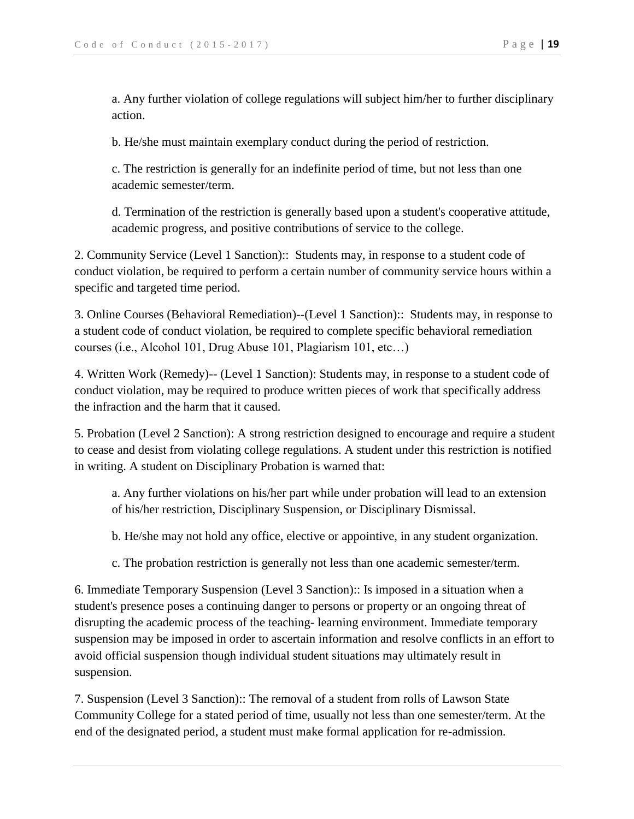a. Any further violation of college regulations will subject him/her to further disciplinary action.

b. He/she must maintain exemplary conduct during the period of restriction.

c. The restriction is generally for an indefinite period of time, but not less than one academic semester/term.

d. Termination of the restriction is generally based upon a student's cooperative attitude, academic progress, and positive contributions of service to the college.

2. Community Service (Level 1 Sanction):: Students may, in response to a student code of conduct violation, be required to perform a certain number of community service hours within a specific and targeted time period.

3. Online Courses (Behavioral Remediation)--(Level 1 Sanction):: Students may, in response to a student code of conduct violation, be required to complete specific behavioral remediation courses (i.e., Alcohol 101, Drug Abuse 101, Plagiarism 101, etc…)

4. Written Work (Remedy)-- (Level 1 Sanction): Students may, in response to a student code of conduct violation, may be required to produce written pieces of work that specifically address the infraction and the harm that it caused.

5. Probation (Level 2 Sanction): A strong restriction designed to encourage and require a student to cease and desist from violating college regulations. A student under this restriction is notified in writing. A student on Disciplinary Probation is warned that:

a. Any further violations on his/her part while under probation will lead to an extension of his/her restriction, Disciplinary Suspension, or Disciplinary Dismissal.

b. He/she may not hold any office, elective or appointive, in any student organization.

c. The probation restriction is generally not less than one academic semester/term.

6. Immediate Temporary Suspension (Level 3 Sanction):: Is imposed in a situation when a student's presence poses a continuing danger to persons or property or an ongoing threat of disrupting the academic process of the teaching- learning environment. Immediate temporary suspension may be imposed in order to ascertain information and resolve conflicts in an effort to avoid official suspension though individual student situations may ultimately result in suspension.

7. Suspension (Level 3 Sanction):: The removal of a student from rolls of Lawson State Community College for a stated period of time, usually not less than one semester/term. At the end of the designated period, a student must make formal application for re-admission.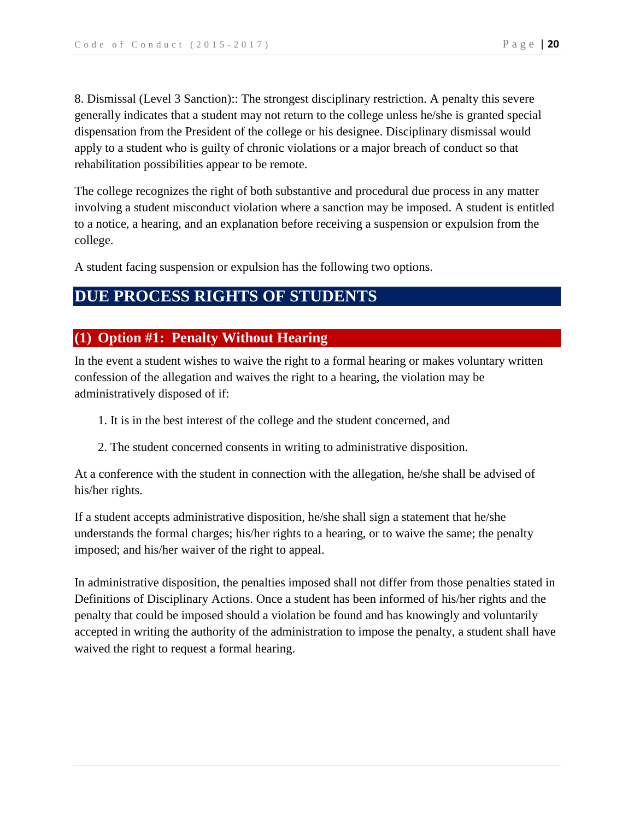8. Dismissal (Level 3 Sanction):: The strongest disciplinary restriction. A penalty this severe generally indicates that a student may not return to the college unless he/she is granted special dispensation from the President of the college or his designee. Disciplinary dismissal would apply to a student who is guilty of chronic violations or a major breach of conduct so that rehabilitation possibilities appear to be remote.

The college recognizes the right of both substantive and procedural due process in any matter involving a student misconduct violation where a sanction may be imposed. A student is entitled to a notice, a hearing, and an explanation before receiving a suspension or expulsion from the college.

A student facing suspension or expulsion has the following two options.

# **DUE PROCESS RIGHTS OF STUDENTS**

# **(1) Option #1: Penalty Without Hearing**

In the event a student wishes to waive the right to a formal hearing or makes voluntary written confession of the allegation and waives the right to a hearing, the violation may be administratively disposed of if:

- 1. It is in the best interest of the college and the student concerned, and
- 2. The student concerned consents in writing to administrative disposition.

At a conference with the student in connection with the allegation, he/she shall be advised of his/her rights.

If a student accepts administrative disposition, he/she shall sign a statement that he/she understands the formal charges; his/her rights to a hearing, or to waive the same; the penalty imposed; and his/her waiver of the right to appeal.

In administrative disposition, the penalties imposed shall not differ from those penalties stated in Definitions of Disciplinary Actions. Once a student has been informed of his/her rights and the penalty that could be imposed should a violation be found and has knowingly and voluntarily accepted in writing the authority of the administration to impose the penalty, a student shall have waived the right to request a formal hearing.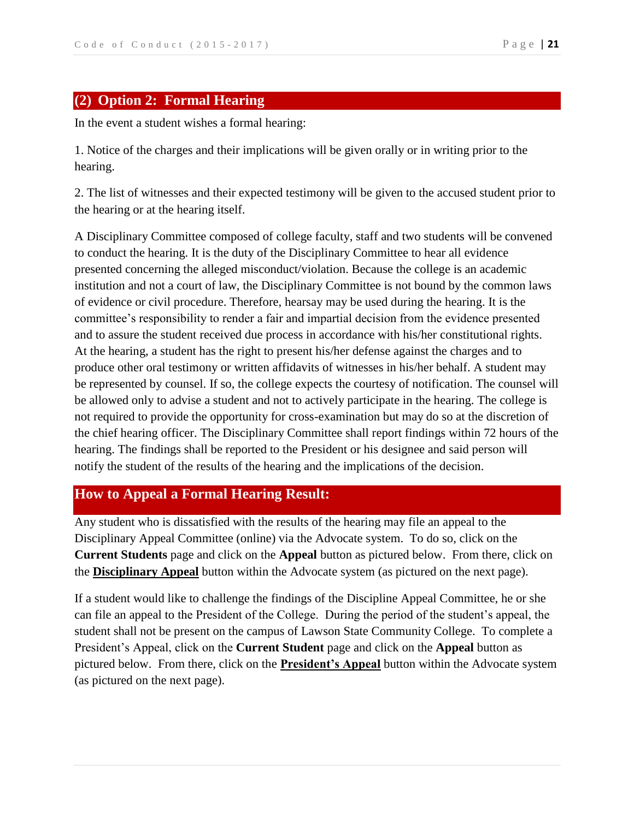## **(2) Option 2: Formal Hearing**

In the event a student wishes a formal hearing:

1. Notice of the charges and their implications will be given orally or in writing prior to the hearing.

2. The list of witnesses and their expected testimony will be given to the accused student prior to the hearing or at the hearing itself.

A Disciplinary Committee composed of college faculty, staff and two students will be convened to conduct the hearing. It is the duty of the Disciplinary Committee to hear all evidence presented concerning the alleged misconduct/violation. Because the college is an academic institution and not a court of law, the Disciplinary Committee is not bound by the common laws of evidence or civil procedure. Therefore, hearsay may be used during the hearing. It is the committee's responsibility to render a fair and impartial decision from the evidence presented and to assure the student received due process in accordance with his/her constitutional rights. At the hearing, a student has the right to present his/her defense against the charges and to produce other oral testimony or written affidavits of witnesses in his/her behalf. A student may be represented by counsel. If so, the college expects the courtesy of notification. The counsel will be allowed only to advise a student and not to actively participate in the hearing. The college is not required to provide the opportunity for cross-examination but may do so at the discretion of the chief hearing officer. The Disciplinary Committee shall report findings within 72 hours of the hearing. The findings shall be reported to the President or his designee and said person will notify the student of the results of the hearing and the implications of the decision.

### **How to Appeal a Formal Hearing Result:**

Any student who is dissatisfied with the results of the hearing may file an appeal to the Disciplinary Appeal Committee (online) via the Advocate system. To do so, click on the **Current Students** page and click on the **Appeal** button as pictured below. From there, click on the **Disciplinary Appeal** button within the Advocate system (as pictured on the next page).

If a student would like to challenge the findings of the Discipline Appeal Committee, he or she can file an appeal to the President of the College. During the period of the student's appeal, the student shall not be present on the campus of Lawson State Community College. To complete a President's Appeal, click on the **Current Student** page and click on the **Appeal** button as pictured below. From there, click on the **President's Appeal** button within the Advocate system (as pictured on the next page).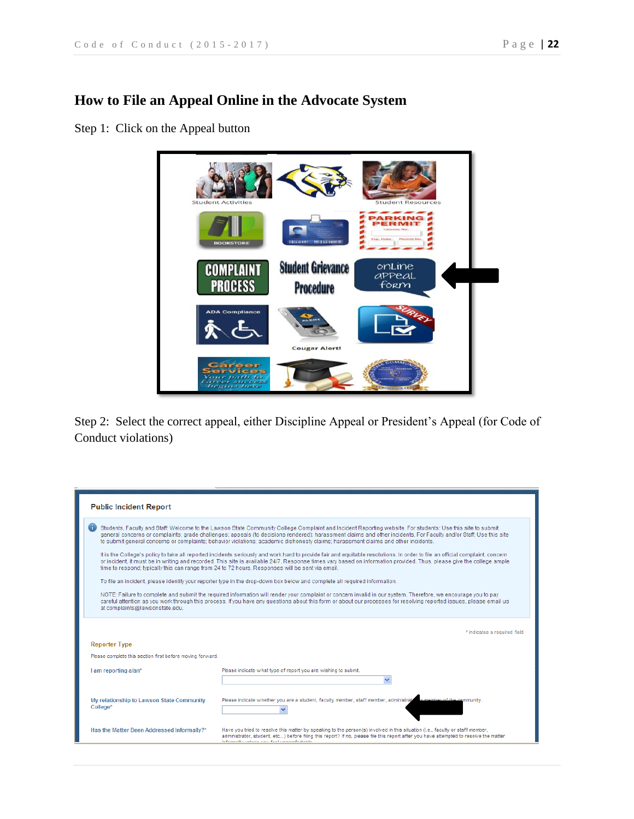# **How to File an Appeal Online in the Advocate System**

Step 1: Click on the Appeal button



Step 2: Select the correct appeal, either Discipline Appeal or President's Appeal (for Code of Conduct violations)

| <b>Public Incident Report</b>                                                                                                                                                                                                                                                                                                                                                                                                                                        |                                                                                                                                                                                                                                                                                                                     |
|----------------------------------------------------------------------------------------------------------------------------------------------------------------------------------------------------------------------------------------------------------------------------------------------------------------------------------------------------------------------------------------------------------------------------------------------------------------------|---------------------------------------------------------------------------------------------------------------------------------------------------------------------------------------------------------------------------------------------------------------------------------------------------------------------|
| Students, Faculty and Staff: Welcome to the Lawson State Community College Complaint and Incident Reporting website. For students: Use this site to submit<br>general concerns or complaints; grade challenges; appeals (to decisions rendered); harassment claims and other incidents. For Faculty and/or Staff: Use this site<br>to submit general concerns or complaints; behavior violations; academic dishonesty claims; harassment claims and other incidents. |                                                                                                                                                                                                                                                                                                                     |
| It is the College's policy to take all reported incidents seriously and work hard to provide fair and equitable resolutions. In order to file an official complaint, concern<br>or incident, it must be in writing and recorded. This site is available 24/7. Response times vary based on information provided. Thus, please give the college ample<br>time to respond; typically this can range from 24 to 72 hours. Responses will be sent via email.             |                                                                                                                                                                                                                                                                                                                     |
|                                                                                                                                                                                                                                                                                                                                                                                                                                                                      | To file an incident, please identify your reporter type in the drop-down box below and complete all required information.                                                                                                                                                                                           |
| NOTE: Failure to complete and submit the required information will render your complaint or concern invalid in our system. Therefore, we encourage you to pay<br>careful attention as you work through this process. If you have any questions about this form or about our processes for resolving reported issues, please email us<br>at complaints@lawsonstate.edu.                                                                                               |                                                                                                                                                                                                                                                                                                                     |
| <b>Reporter Type</b>                                                                                                                                                                                                                                                                                                                                                                                                                                                 | * indicates a required field                                                                                                                                                                                                                                                                                        |
| Please complete this section first before moving forward.                                                                                                                                                                                                                                                                                                                                                                                                            |                                                                                                                                                                                                                                                                                                                     |
|                                                                                                                                                                                                                                                                                                                                                                                                                                                                      |                                                                                                                                                                                                                                                                                                                     |
| I am reporting a/an*                                                                                                                                                                                                                                                                                                                                                                                                                                                 | Please indicate what type of report you are wishing to submit.                                                                                                                                                                                                                                                      |
|                                                                                                                                                                                                                                                                                                                                                                                                                                                                      |                                                                                                                                                                                                                                                                                                                     |
| My relationship to Lawson State Community<br>College*                                                                                                                                                                                                                                                                                                                                                                                                                | Please indicate whether you are a student, faculty member, staff member, administrate<br>ir member of the community.                                                                                                                                                                                                |
| Has the Matter Been Addressed Informally?*                                                                                                                                                                                                                                                                                                                                                                                                                           | Have you tried to resolve this matter by speaking to the person(s) involved in this situation (i.e., faculty or staff member,<br>administrator, student, etc) before filing this report? If no, please file this report after you have attempted to resolve the matter<br>informally unloan you. fool ungomfortable |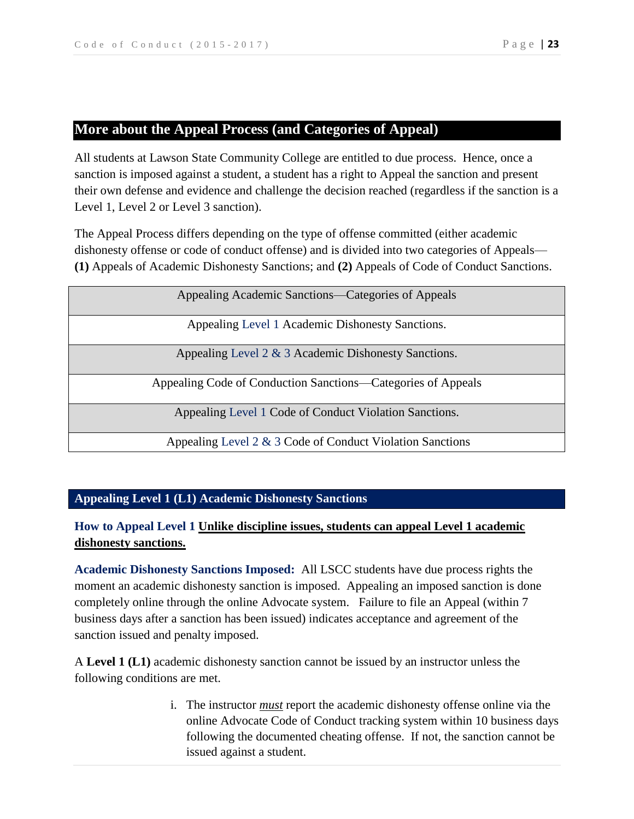## **More about the Appeal Process (and Categories of Appeal)**

All students at Lawson State Community College are entitled to due process. Hence, once a sanction is imposed against a student, a student has a right to Appeal the sanction and present their own defense and evidence and challenge the decision reached (regardless if the sanction is a Level 1, Level 2 or Level 3 sanction).

The Appeal Process differs depending on the type of offense committed (either academic dishonesty offense or code of conduct offense) and is divided into two categories of Appeals— **(1)** Appeals of Academic Dishonesty Sanctions; and **(2)** Appeals of Code of Conduct Sanctions.

| Appealing Academic Sanctions—Categories of Appeals           |
|--------------------------------------------------------------|
| Appealing Level 1 Academic Dishonesty Sanctions.             |
| Appealing Level $2 \& 3$ Academic Dishonesty Sanctions.      |
| Appealing Code of Conduction Sanctions—Categories of Appeals |
| Appealing Level 1 Code of Conduct Violation Sanctions.       |
| Appealing Level 2 & 3 Code of Conduct Violation Sanctions    |

## **Appealing Level 1 (L1) Academic Dishonesty Sanctions**

# **How to Appeal Level 1 Unlike discipline issues, students can appeal Level 1 academic dishonesty sanctions.**

**Academic Dishonesty Sanctions Imposed:** All LSCC students have due process rights the moment an academic dishonesty sanction is imposed. Appealing an imposed sanction is done completely online through the online Advocate system. Failure to file an Appeal (within 7 business days after a sanction has been issued) indicates acceptance and agreement of the sanction issued and penalty imposed.

A **Level 1 (L1)** academic dishonesty sanction cannot be issued by an instructor unless the following conditions are met.

> i. The instructor *must* report the academic dishonesty offense online via the online Advocate Code of Conduct tracking system within 10 business days following the documented cheating offense. If not, the sanction cannot be issued against a student.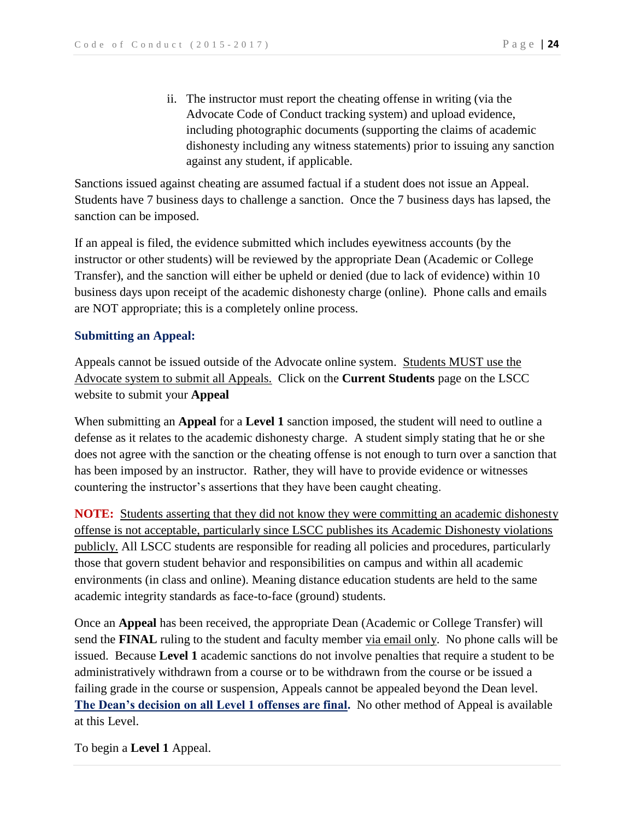ii. The instructor must report the cheating offense in writing (via the Advocate Code of Conduct tracking system) and upload evidence, including photographic documents (supporting the claims of academic dishonesty including any witness statements) prior to issuing any sanction against any student, if applicable.

Sanctions issued against cheating are assumed factual if a student does not issue an Appeal. Students have 7 business days to challenge a sanction. Once the 7 business days has lapsed, the sanction can be imposed.

If an appeal is filed, the evidence submitted which includes eyewitness accounts (by the instructor or other students) will be reviewed by the appropriate Dean (Academic or College Transfer), and the sanction will either be upheld or denied (due to lack of evidence) within 10 business days upon receipt of the academic dishonesty charge (online). Phone calls and emails are NOT appropriate; this is a completely online process.

#### **Submitting an Appeal:**

Appeals cannot be issued outside of the Advocate online system. Students MUST use the Advocate system to submit all Appeals. Click on the **Current Students** page on the LSCC website to submit your **Appeal**

When submitting an **Appeal** for a **Level 1** sanction imposed, the student will need to outline a defense as it relates to the academic dishonesty charge. A student simply stating that he or she does not agree with the sanction or the cheating offense is not enough to turn over a sanction that has been imposed by an instructor. Rather, they will have to provide evidence or witnesses countering the instructor's assertions that they have been caught cheating.

**NOTE:** Students asserting that they did not know they were committing an academic dishonesty offense is not acceptable, particularly since LSCC publishes its Academic Dishonesty violations publicly. All LSCC students are responsible for reading all policies and procedures, particularly those that govern student behavior and responsibilities on campus and within all academic environments (in class and online). Meaning distance education students are held to the same academic integrity standards as face-to-face (ground) students.

Once an **Appeal** has been received, the appropriate Dean (Academic or College Transfer) will send the **FINAL** ruling to the student and faculty member via email only. No phone calls will be issued. Because **Level 1** academic sanctions do not involve penalties that require a student to be administratively withdrawn from a course or to be withdrawn from the course or be issued a failing grade in the course or suspension, Appeals cannot be appealed beyond the Dean level. **The Dean's decision on all Level 1 offenses are final.** No other method of Appeal is available at this Level.

To begin a **Level 1** Appeal.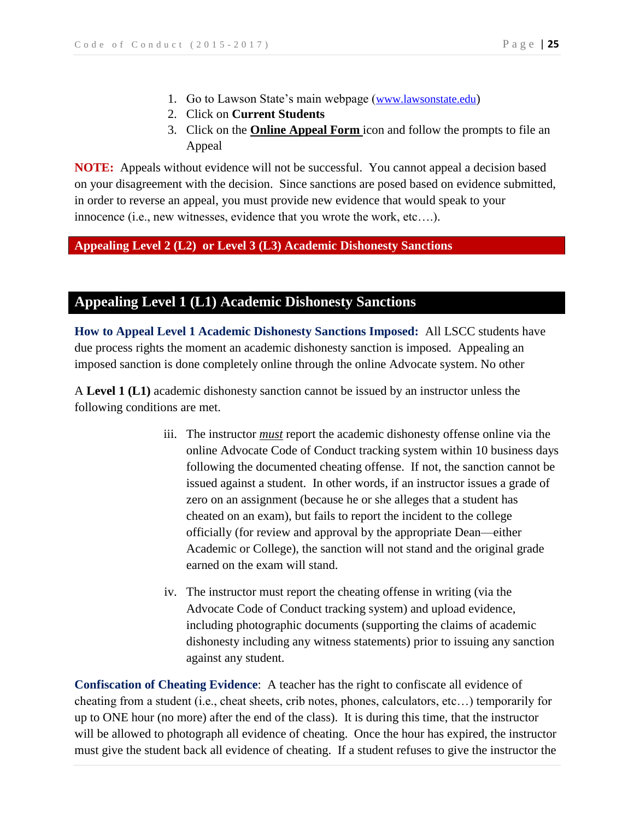- 1. Go to Lawson State's main webpage ([www.lawsonstate.edu](http://www.lawsonstate.edu/))
- 2. Click on **Current Students**
- 3. Click on the **Online Appeal Form** icon and follow the prompts to file an Appeal

**NOTE:** Appeals without evidence will not be successful. You cannot appeal a decision based on your disagreement with the decision. Since sanctions are posed based on evidence submitted, in order to reverse an appeal, you must provide new evidence that would speak to your innocence (i.e., new witnesses, evidence that you wrote the work, etc….).

#### **Appealing Level 2 (L2) or Level 3 (L3) Academic Dishonesty Sanctions**

### **Appealing Level 1 (L1) Academic Dishonesty Sanctions**

**How to Appeal Level 1 Academic Dishonesty Sanctions Imposed:** All LSCC students have due process rights the moment an academic dishonesty sanction is imposed. Appealing an imposed sanction is done completely online through the online Advocate system. No other

A **Level 1 (L1)** academic dishonesty sanction cannot be issued by an instructor unless the following conditions are met.

- iii. The instructor *must* report the academic dishonesty offense online via the online Advocate Code of Conduct tracking system within 10 business days following the documented cheating offense. If not, the sanction cannot be issued against a student. In other words, if an instructor issues a grade of zero on an assignment (because he or she alleges that a student has cheated on an exam), but fails to report the incident to the college officially (for review and approval by the appropriate Dean—either Academic or College), the sanction will not stand and the original grade earned on the exam will stand.
- iv. The instructor must report the cheating offense in writing (via the Advocate Code of Conduct tracking system) and upload evidence, including photographic documents (supporting the claims of academic dishonesty including any witness statements) prior to issuing any sanction against any student.

**Confiscation of Cheating Evidence**: A teacher has the right to confiscate all evidence of cheating from a student (i.e., cheat sheets, crib notes, phones, calculators, etc…) temporarily for up to ONE hour (no more) after the end of the class). It is during this time, that the instructor will be allowed to photograph all evidence of cheating. Once the hour has expired, the instructor must give the student back all evidence of cheating. If a student refuses to give the instructor the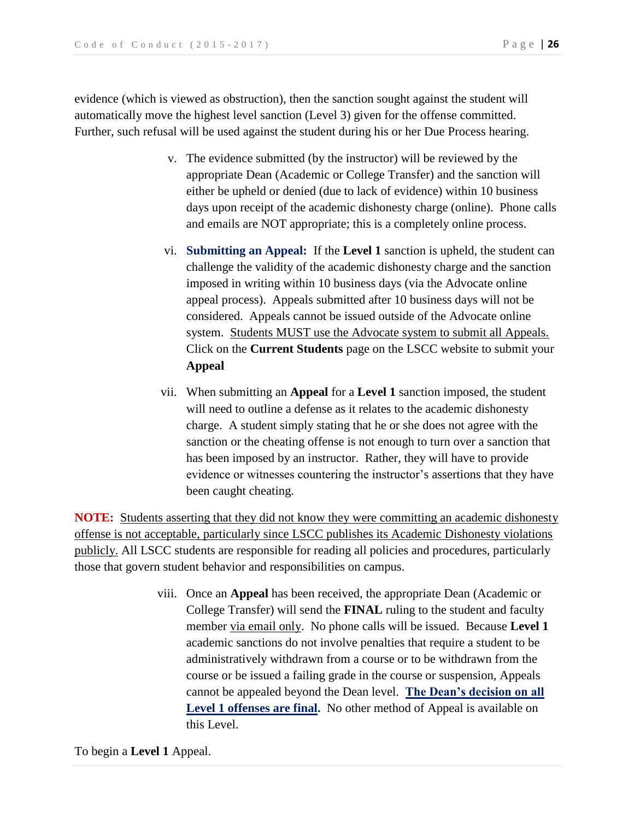evidence (which is viewed as obstruction), then the sanction sought against the student will automatically move the highest level sanction (Level 3) given for the offense committed. Further, such refusal will be used against the student during his or her Due Process hearing.

- v. The evidence submitted (by the instructor) will be reviewed by the appropriate Dean (Academic or College Transfer) and the sanction will either be upheld or denied (due to lack of evidence) within 10 business days upon receipt of the academic dishonesty charge (online). Phone calls and emails are NOT appropriate; this is a completely online process.
- vi. **Submitting an Appeal:** If the **Level 1** sanction is upheld, the student can challenge the validity of the academic dishonesty charge and the sanction imposed in writing within 10 business days (via the Advocate online appeal process). Appeals submitted after 10 business days will not be considered. Appeals cannot be issued outside of the Advocate online system. Students MUST use the Advocate system to submit all Appeals. Click on the **Current Students** page on the LSCC website to submit your **Appeal**
- vii. When submitting an **Appeal** for a **Level 1** sanction imposed, the student will need to outline a defense as it relates to the academic dishonesty charge. A student simply stating that he or she does not agree with the sanction or the cheating offense is not enough to turn over a sanction that has been imposed by an instructor. Rather, they will have to provide evidence or witnesses countering the instructor's assertions that they have been caught cheating.

**NOTE:** Students asserting that they did not know they were committing an academic dishonesty offense is not acceptable, particularly since LSCC publishes its Academic Dishonesty violations publicly. All LSCC students are responsible for reading all policies and procedures, particularly those that govern student behavior and responsibilities on campus.

> viii. Once an **Appeal** has been received, the appropriate Dean (Academic or College Transfer) will send the **FINAL** ruling to the student and faculty member via email only. No phone calls will be issued. Because **Level 1** academic sanctions do not involve penalties that require a student to be administratively withdrawn from a course or to be withdrawn from the course or be issued a failing grade in the course or suspension, Appeals cannot be appealed beyond the Dean level. **The Dean's decision on all Level 1 offenses are final.** No other method of Appeal is available on this Level.

To begin a **Level 1** Appeal.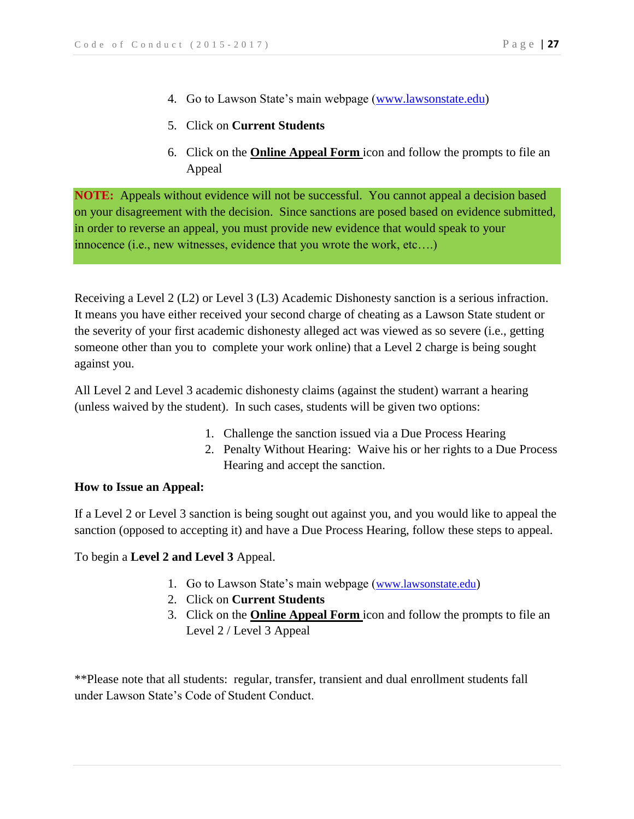- 4. Go to Lawson State's main webpage [\(www.lawsonstate.edu\)](http://www.lawsonstate.edu/)
- 5. Click on **Current Students**
- 6. Click on the **Online Appeal Form** icon and follow the prompts to file an Appeal

**NOTE:** Appeals without evidence will not be successful. You cannot appeal a decision based on your disagreement with the decision. Since sanctions are posed based on evidence submitted, in order to reverse an appeal, you must provide new evidence that would speak to your innocence (i.e., new witnesses, evidence that you wrote the work, etc….)

Receiving a Level 2 (L2) or Level 3 (L3) Academic Dishonesty sanction is a serious infraction. It means you have either received your second charge of cheating as a Lawson State student or the severity of your first academic dishonesty alleged act was viewed as so severe (i.e., getting someone other than you to complete your work online) that a Level 2 charge is being sought against you.

All Level 2 and Level 3 academic dishonesty claims (against the student) warrant a hearing (unless waived by the student). In such cases, students will be given two options:

- 1. Challenge the sanction issued via a Due Process Hearing
- 2. Penalty Without Hearing: Waive his or her rights to a Due Process Hearing and accept the sanction.

#### **How to Issue an Appeal:**

If a Level 2 or Level 3 sanction is being sought out against you, and you would like to appeal the sanction (opposed to accepting it) and have a Due Process Hearing, follow these steps to appeal.

To begin a **Level 2 and Level 3** Appeal.

- 1. Go to Lawson State's main webpage ([www.lawsonstate.edu](http://www.lawsonstate.edu/))
- 2. Click on **Current Students**
- 3. Click on the **Online Appeal Form** icon and follow the prompts to file an Level 2 / Level 3 Appeal

\*\*Please note that all students: regular, transfer, transient and dual enrollment students fall under Lawson State's Code of Student Conduct.